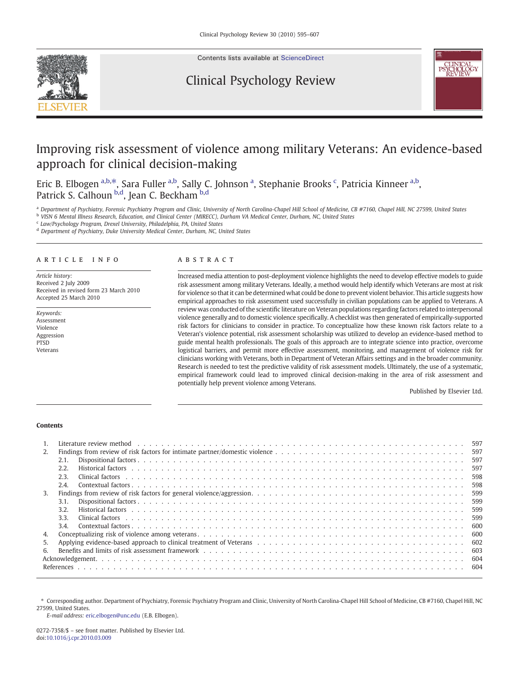

Contents lists available at [ScienceDirect](http://www.sciencedirect.com/science/journal/02727358)

# Clinical Psychology Review



# Improving risk assessment of violence among military Veterans: An evidence-based approach for clinical decision-making

Eric B. Elbogen <sup>a,b,\*</sup>, Sara Fuller <sup>a,b</sup>, Sally C. Johnson <sup>a</sup>, Stephanie Brooks <sup>c</sup>, Patricia Kinneer <sup>a,b</sup>, Patrick S. Calhoun <sup>b,d</sup>, Jean C. Beckham <sup>b,d</sup>

a Department of Psychiatry, Forensic Psychiatry Program and Clinic, University of North Carolina-Chapel Hill School of Medicine, CB #7160, Chapel Hill, NC 27599, United States

<sup>b</sup> VISN 6 Mental Illness Research, Education, and Clinical Center (MIRECC), Durham VA Medical Center, Durham, NC, United States

<sup>c</sup> Law/Psychology Program, Drexel University, Philadelphia, PA, United States

<sup>d</sup> Department of Psychiatry, Duke University Medical Center, Durham, NC, United States

## article info abstract

Article history: Received 2 July 2009 Received in revised form 23 March 2010 Accepted 25 March 2010

Keywords: Assessment Violence Aggression **PTSD** Veterans

Increased media attention to post-deployment violence highlights the need to develop effective models to guide risk assessment among military Veterans. Ideally, a method would help identify which Veterans are most at risk for violence so that it can be determined what could be done to prevent violent behavior. This article suggests how empirical approaches to risk assessment used successfully in civilian populations can be applied to Veterans. A review was conducted of the scientific literature on Veteran populations regarding factors related to interpersonal violence generally and to domestic violence specifically. A checklist was then generated of empirically-supported risk factors for clinicians to consider in practice. To conceptualize how these known risk factors relate to a Veteran's violence potential, risk assessment scholarship was utilized to develop an evidence-based method to guide mental health professionals. The goals of this approach are to integrate science into practice, overcome logistical barriers, and permit more effective assessment, monitoring, and management of violence risk for clinicians working with Veterans, both in Department of Veteran Affairs settings and in the broader community. Research is needed to test the predictive validity of risk assessment models. Ultimately, the use of a systematic, empirical framework could lead to improved clinical decision-making in the area of risk assessment and potentially help prevent violence among Veterans.

Published by Elsevier Ltd.

### **Contents**

| 2.  | Literature review method responses in the contract of the contract of the contract of the contract of the contract of the contract of the contract of the contract of the contract of the contract of the contract of the cont | 597<br>597 |  |  |  |
|-----|--------------------------------------------------------------------------------------------------------------------------------------------------------------------------------------------------------------------------------|------------|--|--|--|
|     |                                                                                                                                                                                                                                |            |  |  |  |
|     | 2.1.                                                                                                                                                                                                                           | 597        |  |  |  |
|     | 2.2.                                                                                                                                                                                                                           | 597        |  |  |  |
|     | 2.3.                                                                                                                                                                                                                           | 598        |  |  |  |
|     | 2.4.                                                                                                                                                                                                                           | 598        |  |  |  |
| 3.  |                                                                                                                                                                                                                                | 599        |  |  |  |
|     | 3.1.                                                                                                                                                                                                                           | 599        |  |  |  |
|     | 3.2.                                                                                                                                                                                                                           | 599        |  |  |  |
|     | 3.3.                                                                                                                                                                                                                           | 599        |  |  |  |
|     | 3.4                                                                                                                                                                                                                            | 600        |  |  |  |
| 4.  |                                                                                                                                                                                                                                | 600        |  |  |  |
| 5.  |                                                                                                                                                                                                                                | 602        |  |  |  |
| 6.  |                                                                                                                                                                                                                                | 603        |  |  |  |
| 604 |                                                                                                                                                                                                                                |            |  |  |  |
|     |                                                                                                                                                                                                                                | 604        |  |  |  |

⁎ Corresponding author. Department of Psychiatry, Forensic Psychiatry Program and Clinic, University of North Carolina-Chapel Hill School of Medicine, CB #7160, Chapel Hill, NC 27599, United States.

E-mail address: [eric.elbogen@unc.edu](mailto:eric.elbogen@unc.edu) (E.B. Elbogen).

0272-7358/\$ – see front matter. Published by Elsevier Ltd. doi:[10.1016/j.cpr.2010.03.009](http://dx.doi.org/10.1016/j.cpr.2010.03.009)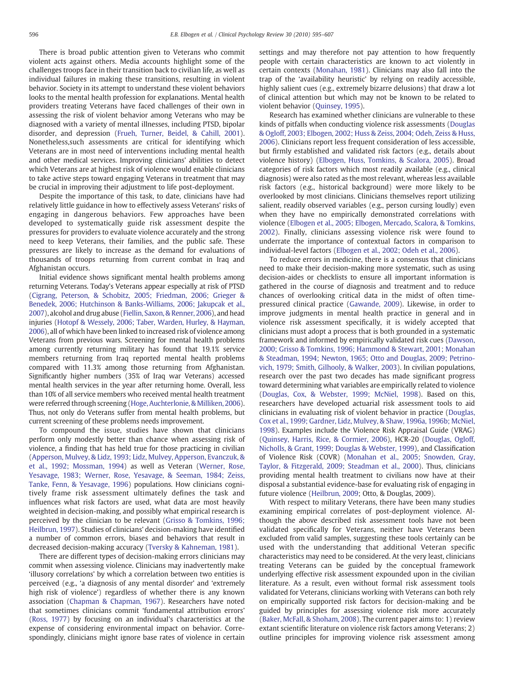There is broad public attention given to Veterans who commit violent acts against others. Media accounts highlight some of the challenges troops face in their transition back to civilian life, as well as individual failures in making these transitions, resulting in violent behavior. Society in its attempt to understand these violent behaviors looks to the mental health profession for explanations. Mental health providers treating Veterans have faced challenges of their own in assessing the risk of violent behavior among Veterans who may be diagnosed with a variety of mental illnesses, including PTSD, bipolar disorder, and depression ([Frueh, Turner, Beidel, & Cahill, 2001](#page-10-0)). Nonetheless,such assessments are critical for identifying which Veterans are in most need of interventions including mental health and other medical services. Improving clinicians' abilities to detect which Veterans are at highest risk of violence would enable clinicians to take active steps toward engaging Veterans in treatment that may be crucial in improving their adjustment to life post-deployment.

Despite the importance of this task, to date, clinicians have had relatively little guidance in how to effectively assess Veterans' risks of engaging in dangerous behaviors. Few approaches have been developed to systematically guide risk assessment despite the pressures for providers to evaluate violence accurately and the strong need to keep Veterans, their families, and the public safe. These pressures are likely to increase as the demand for evaluations of thousands of troops returning from current combat in Iraq and Afghanistan occurs.

Initial evidence shows significant mental health problems among returning Veterans. Today's Veterans appear especially at risk of PTSD [\(Cigrang, Peterson, & Schobitz, 2005; Friedman, 2006; Grieger &](#page-10-0) [Benedek, 2006; Hutchinson & Banks-Williams, 2006; Jakupcak et al.,](#page-10-0) [2007\)](#page-10-0), alcohol and drug abuse [\(Fiellin, Saxon, & Renner, 2006\)](#page-10-0), and head injuries ([Hotopf & Wessely, 2006; Taber, Warden, Hurley, & Hayman,](#page-10-0) [2006\)](#page-10-0), all of which have been linked to increased risk of violence among Veterans from previous wars. Screening for mental health problems among currently returning military has found that 19.1% service members returning from Iraq reported mental health problems compared with 11.3% among those returning from Afghanistan. Significantly higher numbers (35% of Iraq war Veterans) accessed mental health services in the year after returning home. Overall, less than 10% of all service members who received mental health treatment were referred through screening [\(Hoge, Auchterlonie, & Milliken, 2006\)](#page-10-0). Thus, not only do Veterans suffer from mental health problems, but current screening of these problems needs improvement.

To compound the issue, studies have shown that clinicians perform only modestly better than chance when assessing risk of violence, a finding that has held true for those practicing in civilian [\(Apperson, Mulvey, & Lidz, 1993; Lidz, Mulvey, Apperson, Evanczuk, &](#page-9-0) [et al., 1992; Mossman, 1994](#page-9-0)) as well as Veteran ([Werner, Rose,](#page-11-0) [Yesavage, 1983; Werner, Rose, Yesavage, & Seeman, 1984; Zeiss,](#page-11-0) [Tanke, Fenn, & Yesavage, 1996](#page-11-0)) populations. How clinicians cognitively frame risk assessment ultimately defines the task and influences what risk factors are used, what data are most heavily weighted in decision-making, and possibly what empirical research is perceived by the clinician to be relevant ([Grisso & Tomkins, 1996;](#page-10-0) [Heilbrun, 1997](#page-10-0)). Studies of clinicians' decision-making have identified a number of common errors, biases and behaviors that result in decreased decision-making accuracy ([Tversky & Kahneman, 1981\)](#page-11-0).

There are different types of decision-making errors clinicians may commit when assessing violence. Clinicians may inadvertently make 'illusory correlations' by which a correlation between two entities is perceived (e.g., 'a diagnosis of any mental disorder' and 'extremely high risk of violence') regardless of whether there is any known association [\(Chapman & Chapman, 1967\)](#page-10-0). Researchers have noted that sometimes clinicians commit 'fundamental attribution errors' [\(Ross, 1977\)](#page-11-0) by focusing on an individual's characteristics at the expense of considering environmental impact on behavior. Correspondingly, clinicians might ignore base rates of violence in certain settings and may therefore not pay attention to how frequently people with certain characteristics are known to act violently in certain contexts ([Monahan, 1981](#page-11-0)). Clinicians may also fall into the trap of the 'availability heuristic' by relying on readily accessible, highly salient cues (e.g., extremely bizarre delusions) that draw a lot of clinical attention but which may not be known to be related to violent behavior [\(Quinsey, 1995\)](#page-11-0).

Research has examined whether clinicians are vulnerable to these kinds of pitfalls when conducting violence risk assessments ([Douglas](#page-10-0) [& Ogloff, 2003; Elbogen, 2002; Huss & Zeiss, 2004; Odeh, Zeiss & Huss,](#page-10-0) [2006\)](#page-10-0). Clinicians report less frequent consideration of less accessible, but firmly established and validated risk factors (e.g., details about violence history) [\(Elbogen, Huss, Tomkins, & Scalora, 2005\)](#page-10-0). Broad categories of risk factors which most readily available (e.g., clinical diagnosis) were also rated as the most relevant, whereas less available risk factors (e.g., historical background) were more likely to be overlooked by most clinicians. Clinicians themselves report utilizing salient, readily observed variables (e.g., person cursing loudly) even when they have no empirically demonstrated correlations with violence ([Elbogen et al., 2005; Elbogen, Mercado, Scalora, & Tomkins,](#page-10-0) [2002](#page-10-0)). Finally, clinicians assessing violence risk were found to underrate the importance of contextual factors in comparison to individual-level factors ([Elbogen et al., 2002; Odeh et al., 2006\)](#page-10-0).

To reduce errors in medicine, there is a consensus that clinicians need to make their decision-making more systematic, such as using decision-aides or checklists to ensure all important information is gathered in the course of diagnosis and treatment and to reduce chances of overlooking critical data in the midst of often timepressured clinical practice ([Gawande, 2009\)](#page-10-0). Likewise, in order to improve judgments in mental health practice in general and in violence risk assessment specifically, it is widely accepted that clinicians must adopt a process that is both grounded in a systematic framework and informed by empirically validated risk cues ([Dawson,](#page-10-0) [2000; Grisso & Tomkins, 1996; Hammond & Stewart, 2001; Monahan](#page-10-0) [& Steadman, 1994; Newton, 1965; Otto and Douglas, 2009; Petrino](#page-10-0)[vich, 1979; Smith, Gilhooly, & Walker, 2003\)](#page-10-0). In civilian populations, research over the past two decades has made significant progress toward determining what variables are empirically related to violence [\(Douglas, Cox, & Webster, 1999; McNiel, 1998\)](#page-10-0). Based on this, researchers have developed actuarial risk assessment tools to aid clinicians in evaluating risk of violent behavior in practice ([Douglas,](#page-10-0) [Cox et al., 1999; Gardner, Lidz, Mulvey, & Shaw, 1996a, 1996b; McNiel,](#page-10-0) [1998\)](#page-10-0). Examples include the Violence Risk Appraisal Guide (VRAG) [\(Quinsey, Harris, Rice, & Cormier, 2006\)](#page-11-0), HCR-20 ([Douglas, Ogloff,](#page-10-0) [Nicholls, & Grant, 1999; Douglas & Webster, 1999](#page-10-0)), and Classification of Violence Risk (COVR) ([Monahan et al., 2005; Snowden, Gray,](#page-11-0) [Taylor, & Fitzgerald, 2009; Steadman et al., 2000](#page-11-0)). Thus, clinicians providing mental health treatment to civilians now have at their disposal a substantial evidence-base for evaluating risk of engaging in future violence ([Heilbrun, 2009;](#page-10-0) Otto, & Douglas, 2009).

With respect to military Veterans, there have been many studies examining empirical correlates of post-deployment violence. Although the above described risk assessment tools have not been validated specifically for Veterans, neither have Veterans been excluded from valid samples, suggesting these tools certainly can be used with the understanding that additional Veteran specific characteristics may need to be considered. At the very least, clinicians treating Veterans can be guided by the conceptual framework underlying effective risk assessment expounded upon in the civilian literature. As a result, even without formal risk assessment tools validated for Veterans, clinicians working with Veterans can both rely on empirically supported risk factors for decision-making and be guided by principles for assessing violence risk more accurately [\(Baker, McFall, & Shoham, 2008\)](#page-9-0). The current paper aims to: 1) review extant scientific literature on violence risk factors among Veterans; 2) outline principles for improving violence risk assessment among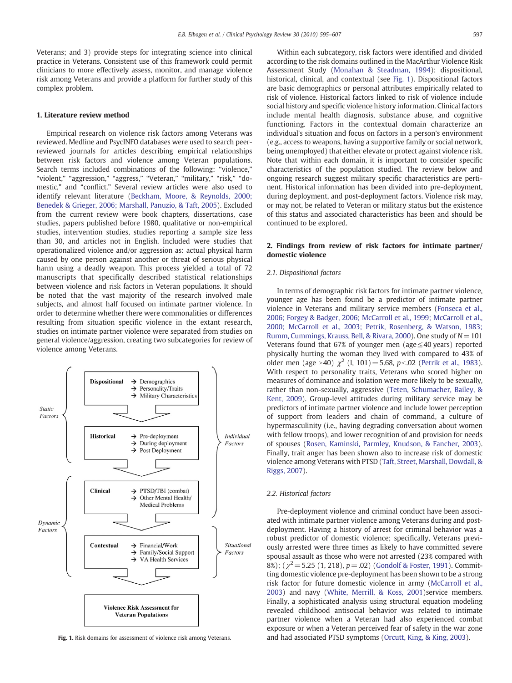<span id="page-2-0"></span>Veterans; and 3) provide steps for integrating science into clinical practice in Veterans. Consistent use of this framework could permit clinicians to more effectively assess, monitor, and manage violence risk among Veterans and provide a platform for further study of this complex problem.

#### 1. Literature review method

Empirical research on violence risk factors among Veterans was reviewed. Medline and PsycINFO databases were used to search peerreviewed journals for articles describing empirical relationships between risk factors and violence among Veteran populations. Search terms included combinations of the following: "violence," "violent," "aggression," "aggress," "Veteran," "military," "risk," "domestic," and "conflict." Several review articles were also used to identify relevant literature [\(Beckham, Moore, & Reynolds, 2000;](#page-9-0) [Benedek & Grieger, 2006; Marshall, Panuzio, & Taft, 2005\)](#page-9-0). Excluded from the current review were book chapters, dissertations, case studies, papers published before 1980, qualitative or non-empirical studies, intervention studies, studies reporting a sample size less than 30, and articles not in English. Included were studies that operationalized violence and/or aggression as: actual physical harm caused by one person against another or threat of serious physical harm using a deadly weapon. This process yielded a total of 72 manuscripts that specifically described statistical relationships between violence and risk factors in Veteran populations. It should be noted that the vast majority of the research involved male subjects, and almost half focused on intimate partner violence. In order to determine whether there were commonalities or differences resulting from situation specific violence in the extant research, studies on intimate partner violence were separated from studies on general violence/aggression, creating two subcategories for review of violence among Veterans.



Within each subcategory, risk factors were identified and divided according to the risk domains outlined in the MacArthur Violence Risk Assessment Study [\(Monahan & Steadman, 1994](#page-11-0)): dispositional, historical, clinical, and contextual (see Fig. 1). Dispositional factors are basic demographics or personal attributes empirically related to risk of violence. Historical factors linked to risk of violence include social history and specific violence history information. Clinical factors include mental health diagnosis, substance abuse, and cognitive functioning. Factors in the contextual domain characterize an individual's situation and focus on factors in a person's environment (e.g., access to weapons, having a supportive family or social network, being unemployed) that either elevate or protect against violence risk. Note that within each domain, it is important to consider specific characteristics of the population studied. The review below and ongoing research suggest military specific characteristics are pertinent. Historical information has been divided into pre-deployment, during deployment, and post-deployment factors. Violence risk may, or may not, be related to Veteran or military status but the existence of this status and associated characteristics has been and should be continued to be explored.

# 2. Findings from review of risk factors for intimate partner/ domestic violence

## 2.1. Dispositional factors

In terms of demographic risk factors for intimate partner violence, younger age has been found be a predictor of intimate partner violence in Veterans and military service members [\(Fonseca et al.,](#page-10-0) [2006; Forgey & Badger, 2006; McCarroll et al., 1999; McCarroll et al.,](#page-10-0) [2000; McCarroll et al., 2003; Petrik, Rosenberg, & Watson, 1983;](#page-10-0) [Rumm, Cummings, Krauss, Bell, & Rivara, 2000\)](#page-10-0). One study of  $N = 101$ Veterans found that 67% of younger men (age≤40 years) reported physically hurting the woman they lived with compared to 43% of older men (age >40)  $\chi^2$  (l, 101) = 5.68, p<.02 [\(Petrik et al., 1983](#page-11-0)). With respect to personality traits, Veterans who scored higher on measures of dominance and isolation were more likely to be sexually, rather than non-sexually, aggressive [\(Teten, Schumacher, Bailey, &](#page-11-0) [Kent, 2009](#page-11-0)). Group-level attitudes during military service may be predictors of intimate partner violence and include lower perception of support from leaders and chain of command, a culture of hypermasculinity (i.e., having degrading conversation about women with fellow troops), and lower recognition of and provision for needs of spouses [\(Rosen, Kaminski, Parmley, Knudson, & Fancher, 2003](#page-11-0)). Finally, trait anger has been shown also to increase risk of domestic violence among Veterans with PTSD ([Taft, Street, Marshall, Dowdall, &](#page-11-0) [Riggs, 2007](#page-11-0)).

### 2.2. Historical factors

Pre-deployment violence and criminal conduct have been associated with intimate partner violence among Veterans during and postdeployment. Having a history of arrest for criminal behavior was a robust predictor of domestic violence; specifically, Veterans previously arrested were three times as likely to have committed severe spousal assault as those who were not arrested (23% compared with 8%); ( $\chi^2$  = 5.25 (1, 218), p = .02) ([Gondolf & Foster, 1991\)](#page-10-0). Committing domestic violence pre-deployment has been shown to be a strong risk factor for future domestic violence in army [\(McCarroll et al.,](#page-11-0) [2003\)](#page-11-0) and navy ([White, Merrill, & Koss, 2001](#page-12-0))service members. Finally, a sophisticated analysis using structural equation modeling revealed childhood antisocial behavior was related to intimate partner violence when a Veteran had also experienced combat exposure or when a Veteran perceived fear of safety in the war zone Fig. 1. Risk domains for assessment of violence risk among Veterans. and had associated PTSD symptoms [\(Orcutt, King, & King, 2003\)](#page-11-0).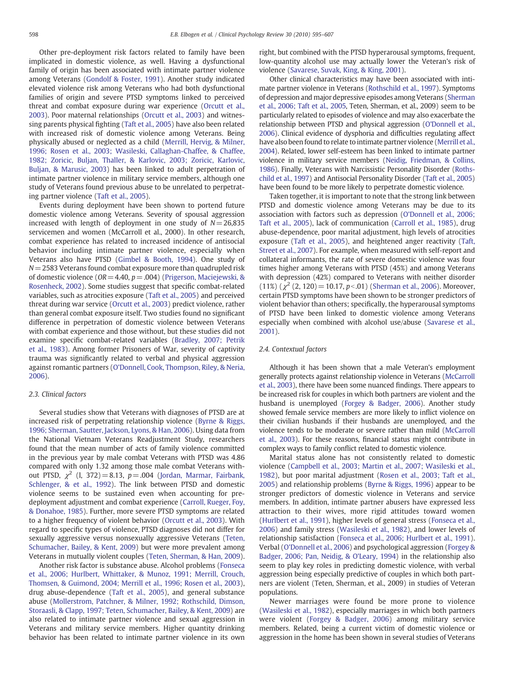Other pre-deployment risk factors related to family have been implicated in domestic violence, as well. Having a dysfunctional family of origin has been associated with intimate partner violence among Veterans ([Gondolf & Foster, 1991\)](#page-10-0). Another study indicated elevated violence risk among Veterans who had both dysfunctional families of origin and severe PTSD symptoms linked to perceived threat and combat exposure during war experience [\(Orcutt et al.,](#page-11-0) [2003\)](#page-11-0). Poor maternal relationships [\(Orcutt et al., 2003\)](#page-11-0) and witnessing parents physical fighting ([Taft et al., 2005](#page-11-0)) have also been related with increased risk of domestic violence among Veterans. Being physically abused or neglected as a child ([Merrill, Hervig, & Milner,](#page-11-0) [1996; Rosen et al., 2003; Wasileski, Callaghan-Chaffee, & Chaffee,](#page-11-0) [1982; Zoricic, Buljan, Thaller, & Karlovic, 2003; Zoricic, Karlovic,](#page-11-0) [Buljan, & Marusic, 2003](#page-11-0)) has been linked to adult perpetration of intimate partner violence in military service members, although one study of Veterans found previous abuse to be unrelated to perpetrating partner violence [\(Taft et al., 2005\)](#page-11-0).

Events during deployment have been shown to portend future domestic violence among Veterans. Severity of spousal aggression increased with length of deployment in one study of  $N= 26,835$ servicemen and women (McCarroll et al., 2000). In other research, combat experience has related to increased incidence of antisocial behavior including intimate partner violence, especially when Veterans also have PTSD ([Gimbel & Booth, 1994](#page-10-0)). One study of  $N = 2583$  Veterans found combat exposure more than quadrupled risk of domestic violence ( $OR = 4.40$ ,  $p = .004$ ) ([Prigerson, Maciejewski, &](#page-11-0) [Rosenheck, 2002\)](#page-11-0). Some studies suggest that specific combat-related variables, such as atrocities exposure ([Taft et al., 2005](#page-11-0)) and perceived threat during war service ([Orcutt et al., 2003](#page-11-0)) predict violence, rather than general combat exposure itself. Two studies found no significant difference in perpetration of domestic violence between Veterans with combat experience and those without, but these studies did not examine specific combat-related variables [\(Bradley, 2007; Petrik](#page-9-0) [et al., 1983\)](#page-9-0). Among former Prisoners of War, severity of captivity trauma was significantly related to verbal and physical aggression against romantic partners ([O'Donnell, Cook, Thompson, Riley, & Neria,](#page-11-0) [2006\)](#page-11-0).

# 2.3. Clinical factors

Several studies show that Veterans with diagnoses of PTSD are at increased risk of perpetrating relationship violence ([Byrne & Riggs,](#page-9-0) [1996; Sherman, Sautter, Jackson, Lyons, & Han, 2006\)](#page-9-0). Using data from the National Vietnam Veterans Readjustment Study, researchers found that the mean number of acts of family violence committed in the previous year by male combat Veterans with PTSD was 4.86 compared with only 1.32 among those male combat Veterans without PTSD,  $\chi^2$  (l, 372) = 8.13, p = .004 [\(Jordan, Marmar, Fairbank,](#page-10-0) [Schlenger, & et al., 1992](#page-10-0)). The link between PTSD and domestic violence seems to be sustained even when accounting for predeployment adjustment and combat experience ([Carroll, Rueger, Foy,](#page-10-0) [& Donahoe, 1985\)](#page-10-0). Further, more severe PTSD symptoms are related to a higher frequency of violent behavior ([Orcutt et al., 2003](#page-11-0)). With regard to specific types of violence, PTSD diagnoses did not differ for sexually aggressive versus nonsexually aggressive Veterans ([Teten,](#page-11-0) [Schumacher, Bailey, & Kent, 2009\)](#page-11-0) but were more prevalent among Veterans in mutually violent couples [\(Teten, Sherman, & Han, 2009](#page-11-0)).

Another risk factor is substance abuse. Alcohol problems [\(Fonseca](#page-10-0) [et al., 2006; Hurlbert, Whittaker, & Munoz, 1991; Merrill, Crouch,](#page-10-0) [Thomsen, & Guimond, 2004; Merrill et al., 1996; Rosen et al., 2003](#page-10-0)), drug abuse-dependence [\(Taft et al., 2005](#page-11-0)), and general substance abuse ([Mollerstrom, Patchner, & Milner, 1992; Rothschild, Dimson,](#page-11-0) [Storaasli, & Clapp, 1997; Teten, Schumacher, Bailey, & Kent, 2009\)](#page-11-0) are also related to intimate partner violence and sexual aggression in Veterans and military service members. Higher quantity drinking behavior has been related to intimate partner violence in its own right, but combined with the PTSD hyperarousal symptoms, frequent, low-quantity alcohol use may actually lower the Veteran's risk of violence ([Savarese, Suvak, King, & King, 2001](#page-11-0)).

Other clinical characteristics may have been associated with intimate partner violence in Veterans ([Rothschild et al., 1997](#page-11-0)). Symptoms of depression and major depressive episodes among Veterans ([Sherman](#page-11-0) [et al., 2006; Taft et al., 2005](#page-11-0), Teten, Sherman, et al., 2009) seem to be particularly related to episodes of violence and may also exacerbate the relationship between PTSD and physical aggression [\(O'Donnell et al.,](#page-11-0) [2006\)](#page-11-0). Clinical evidence of dysphoria and difficulties regulating affect have also been found to relate to intimate partner violence [\(Merrill et al.,](#page-11-0) [2004\)](#page-11-0). Related, lower self-esteem has been linked to intimate partner violence in military service members ([Neidig, Friedman, & Collins,](#page-11-0) [1986\)](#page-11-0). Finally, Veterans with Narcissistic Personality Disorder [\(Roths](#page-11-0)[child et al., 1997\)](#page-11-0) and Antisocial Personality Disorder [\(Taft et al., 2005](#page-11-0)) have been found to be more likely to perpetrate domestic violence.

Taken together, it is important to note that the strong link between PTSD and domestic violence among Veterans may be due to its association with factors such as depression [\(O'Donnell et al., 2006;](#page-11-0) [Taft et al., 2005\)](#page-11-0), lack of communication ([Carroll et al., 1985\)](#page-10-0), drug abuse-dependence, poor marital adjustment, high levels of atrocities exposure [\(Taft et al., 2005\)](#page-11-0), and heightened anger reactivity [\(Taft,](#page-11-0) [Street et al., 2007](#page-11-0)). For example, when measured with self-report and collateral informants, the rate of severe domestic violence was four times higher among Veterans with PTSD (45%) and among Veterans with depression (42%) compared to Veterans with neither disorder (11%) ( $\chi^2$  (2, 120) = 10.17, p < 01) ([Sherman et al., 2006](#page-11-0)). Moreover, certain PTSD symptoms have been shown to be stronger predictors of violent behavior than others; specifically, the hyperarousal symptoms of PTSD have been linked to domestic violence among Veterans especially when combined with alcohol use/abuse [\(Savarese et al.,](#page-11-0) [2001\)](#page-11-0).

#### 2.4. Contextual factors

Although it has been shown that a male Veteran's employment generally protects against relationship violence in Veterans [\(McCarroll](#page-11-0) [et al., 2003](#page-11-0)), there have been some nuanced findings. There appears to be increased risk for couples in which both partners are violent and the husband is unemployed ([Forgey & Badger, 2006](#page-10-0)). Another study showed female service members are more likely to inflict violence on their civilian husbands if their husbands are unemployed, and the violence tends to be moderate or severe rather than mild [\(McCarroll](#page-11-0) [et al., 2003](#page-11-0)). For these reasons, financial status might contribute in complex ways to family conflict related to domestic violence.

Marital status alone has not consistently related to domestic violence [\(Campbell et al., 2003; Martin et al., 2007; Wasileski et al.,](#page-10-0) [1982\)](#page-10-0), but poor marital adjustment [\(Rosen et al., 2003; Taft et al.,](#page-11-0) [2005\)](#page-11-0) and relationship problems ([Byrne & Riggs, 1996](#page-9-0)) appear to be stronger predictors of domestic violence in Veterans and service members. In addition, intimate partner abusers have expressed less attraction to their wives, more rigid attitudes toward women [\(Hurlbert et al., 1991](#page-10-0)), higher levels of general stress [\(Fonseca et al.,](#page-10-0) [2006\)](#page-10-0) and family stress [\(Wasileski et al., 1982\)](#page-11-0), and lower levels of relationship satisfaction [\(Fonseca et al., 2006; Hurlbert et al., 1991](#page-10-0)). Verbal [\(O'Donnell et al., 2006](#page-11-0)) and psychological aggression [\(Forgey &](#page-10-0) [Badger, 2006; Pan, Neidig, & O'Leary, 1994\)](#page-10-0) in the relationship also seem to play key roles in predicting domestic violence, with verbal aggression being especially predictive of couples in which both partners are violent (Teten, Sherman, et al., 2009) in studies of Veteran populations.

Newer marriages were found be more prone to violence [\(Wasileski et al., 1982](#page-11-0)), especially marriages in which both partners were violent [\(Forgey & Badger, 2006\)](#page-10-0) among military service members. Related, being a current victim of domestic violence or aggression in the home has been shown in several studies of Veterans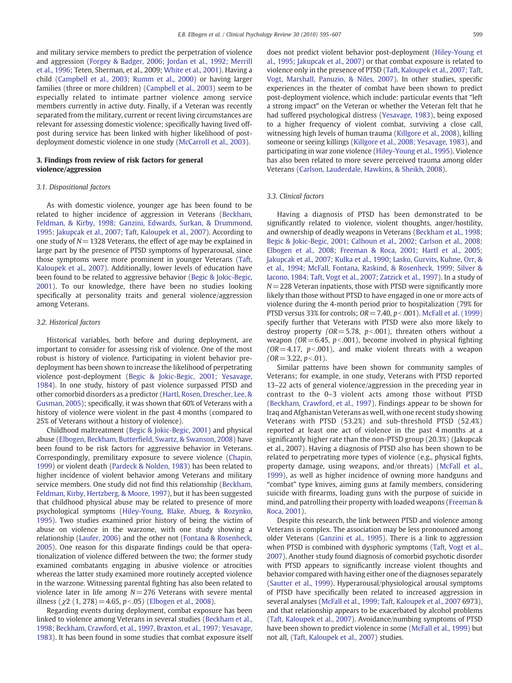and military service members to predict the perpetration of violence and aggression [\(Forgey & Badger, 2006; Jordan et al., 1992; Merrill](#page-10-0) [et al., 1996;](#page-10-0) Teten, Sherman, et al., 2009; [White et al., 2001\)](#page-12-0). Having a child ([Campbell et al., 2003; Rumm et al., 2000](#page-10-0)) or having larger families (three or more children) [\(Campbell et al., 2003](#page-10-0)) seem to be especially related to intimate partner violence among service members currently in active duty. Finally, if a Veteran was recently separated from the military, current or recent living circumstances are relevant for assessing domestic violence; specifically having lived offpost during service has been linked with higher likelihood of postdeployment domestic violence in one study [\(McCarroll et al., 2003\)](#page-11-0).

# 3. Findings from review of risk factors for general violence/aggression

#### 3.1. Dispositional factors

As with domestic violence, younger age has been found to be related to higher incidence of aggression in Veterans ([Beckham,](#page-9-0) [Feldman, & Kirby, 1998; Ganzini, Edwards, Surkan, & Drummond,](#page-9-0) [1995; Jakupcak et al., 2007; Taft, Kaloupek et al., 2007\)](#page-9-0). According to one study of  $N = 1328$  Veterans, the effect of age may be explained in large part by the presence of PTSD symptoms of hyperarousal, since those symptoms were more prominent in younger Veterans ([Taft,](#page-11-0) [Kaloupek et al., 2007](#page-11-0)). Additionally, lower levels of education have been found to be related to aggressive behavior ([Begic & Jokic-Begic,](#page-9-0) [2001\)](#page-9-0). To our knowledge, there have been no studies looking specifically at personality traits and general violence/aggression among Veterans.

#### 3.2. Historical factors

Historical variables, both before and during deployment, are important to consider for assessing risk of violence. One of the most robust is history of violence. Participating in violent behavior predeployment has been shown to increase the likelihood of perpetrating violence post-deployment ([Begic & Jokic-Begic, 2001; Yesavage,](#page-9-0) [1984\)](#page-9-0). In one study, history of past violence surpassed PTSD and other comorbid disorders as a predictor [\(Hartl, Rosen, Drescher, Lee, &](#page-10-0) [Gusman, 2005](#page-10-0)); specifically, it was shown that 60% of Veterans with a history of violence were violent in the past 4 months (compared to 25% of Veterans without a history of violence).

Childhood maltreatment [\(Begic & Jokic-Begic, 2001\)](#page-9-0) and physical abuse (Elbogen, Beckham, Butterfi[eld, Swartz, & Swanson, 2008\)](#page-10-0) have been found to be risk factors for aggressive behavior in Veterans. Correspondingly, premilitary exposure to severe violence [\(Chapin,](#page-10-0) [1999\)](#page-10-0) or violent death ([Pardeck & Nolden, 1983\)](#page-11-0) has been related to higher incidence of violent behavior among Veterans and military service members. One study did not find this relationship ([Beckham,](#page-9-0) [Feldman, Kirby, Hertzberg, & Moore, 1997\)](#page-9-0), but it has been suggested that childhood physical abuse may be related to presence of more psychological symptoms ([Hiley-Young, Blake, Abueg, & Rozynko,](#page-10-0) [1995\)](#page-10-0). Two studies examined prior history of being the victim of abuse on violence in the warzone, with one study showing a relationship [\(Laufer, 2006](#page-10-0)) and the other not ([Fontana & Rosenheck,](#page-10-0) [2005\)](#page-10-0). One reason for this disparate findings could be that operationalization of violence differed between the two; the former study examined combatants engaging in abusive violence or atrocities whereas the latter study examined more routinely accepted violence in the warzone. Witnessing parental fighting has also been related to violence later in life among  $N= 276$  Veterans with severe mental illness ( $\chi$ 2 (1, 278) = 4.65, p < .05) [\(Elbogen et al., 2008\)](#page-10-0).

Regarding events during deployment, combat exposure has been linked to violence among Veterans in several studies [\(Beckham et al.,](#page-9-0) [1998; Beckham, Crawford, et al., 1997, Braxton, et al., 1997; Yesavage,](#page-9-0) [1983\)](#page-9-0). It has been found in some studies that combat exposure itself does not predict violent behavior post-deployment [\(Hiley-Young et](#page-10-0) [al., 1995; Jakupcak et al., 2007\)](#page-10-0) or that combat exposure is related to violence only in the presence of PTSD [\(Taft, Kaloupek et al., 2007; Taft,](#page-11-0) [Vogt, Marshall, Panuzio, & Niles, 2007\)](#page-11-0). In other studies, specific experiences in the theater of combat have been shown to predict post-deployment violence, which include: particular events that "left a strong impact" on the Veteran or whether the Veteran felt that he had suffered psychological distress ([Yesavage, 1983\)](#page-12-0), being exposed to a higher frequency of violent combat, surviving a close call, witnessing high levels of human trauma ([Killgore et al., 2008](#page-10-0)), killing someone or seeing killings ([Killgore et al., 2008; Yesavage, 1983\)](#page-10-0), and participating in war zone violence ([Hiley-Young et al., 1995](#page-10-0)). Violence has also been related to more severe perceived trauma among older Veterans [\(Carlson, Lauderdale, Hawkins, & Sheikh, 2008\)](#page-10-0).

#### 3.3. Clinical factors

Having a diagnosis of PTSD has been demonstrated to be significantly related to violence, violent thoughts, anger/hostility, and ownership of deadly weapons in Veterans [\(Beckham et al., 1998;](#page-9-0) [Begic & Jokic-Begic, 2001; Calhoun et al., 2002; Carlson et al., 2008;](#page-9-0) [Elbogen et al., 2008; Freeman & Roca, 2001; Hartl et al., 2005;](#page-9-0) [Jakupcak et al., 2007; Kulka et al., 1990; Lasko, Gurvits, Kuhne, Orr, &](#page-9-0) [et al., 1994; McFall, Fontana, Raskind, & Rosenheck, 1999; Silver &](#page-9-0) [Iacono, 1984; Taft, Vogt et al., 2007; Zatzick et al., 1997\)](#page-9-0). In a study of  $N= 228$  Veteran inpatients, those with PTSD were significantly more likely than those without PTSD to have engaged in one or more acts of violence during the 4-month period prior to hospitalization (79% for PTSD versus 33% for controls;  $OR = 7.40$ ,  $p < .001$ ). [McFall et al. \(1999\)](#page-11-0) specify further that Veterans with PTSD were also more likely to destroy property ( $OR = 5.78$ ,  $p<0.001$ ), threaten others without a weapon (OR=6.45,  $p<0.001$ ), become involved in physical fighting  $(OR = 4.17, p< .001)$ , and make violent threats with a weapon  $(OR = 3.22, p < 01)$ .

Similar patterns have been shown for community samples of Veterans; for example, in one study, Veterans with PTSD reported 13–22 acts of general violence/aggression in the preceding year in contrast to the 0–3 violent acts among those without PTSD [\(Beckham, Crawford, et al., 1997](#page-9-0)). Findings appear to be shown for Iraq and Afghanistan Veterans as well, with one recent study showing Veterans with PTSD (53.2%) and sub-threshold PTSD (52.4%) reported at least one act of violence in the past 4 months at a significantly higher rate than the non-PTSD group (20.3%) (Jakupcak et al., 2007). Having a diagnosis of PTSD also has been shown to be related to perpetrating more types of violence (e.g., physical fights, property damage, using weapons, and/or threats) ([McFall et al.,](#page-11-0) [1999](#page-11-0)), as well as higher incidence of owning more handguns and "combat" type knives, aiming guns at family members, considering suicide with firearms, loading guns with the purpose of suicide in mind, and patrolling their property with loaded weapons [\(Freeman &](#page-10-0) [Roca, 2001\)](#page-10-0).

Despite this research, the link between PTSD and violence among Veterans is complex. The association may be less pronounced among older Veterans ([Ganzini et al., 1995](#page-10-0)). There is a link to aggression when PTSD is combined with dysphoric symptoms ([Taft, Vogt et al.,](#page-11-0) [2007\)](#page-11-0). Another study found diagnosis of comorbid psychotic disorder with PTSD appears to significantly increase violent thoughts and behavior compared with having either one of the diagnoses separately [\(Sautter et al., 1999](#page-11-0)). Hyperarousal/physiological arousal symptoms of PTSD have specifically been related to increased aggression in several analyses [\(McFall et al., 1999; Taft, Kaloupek et al., 2007](#page-11-0) 6973), and that relationship appears to be exacerbated by alcohol problems [\(Taft, Kaloupek et al., 2007](#page-11-0)). Avoidance/numbing symptoms of PTSD have been shown to predict violence in some ([McFall et al., 1999\)](#page-11-0) but not all, ([Taft, Kaloupek et al., 2007](#page-11-0)) studies.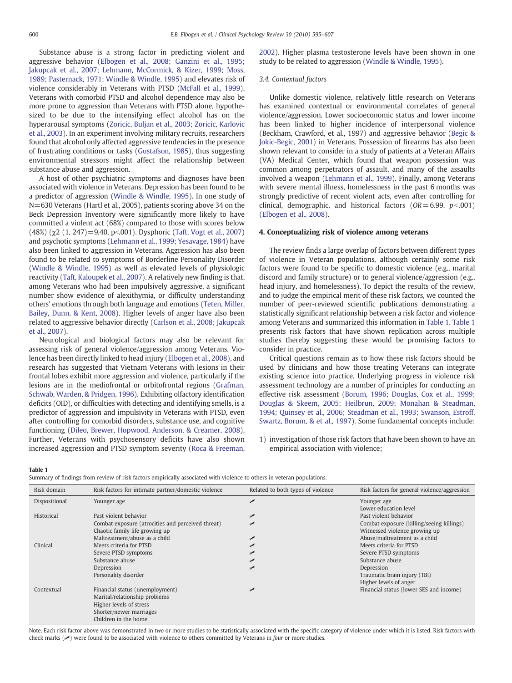<span id="page-5-0"></span>Substance abuse is a strong factor in predicting violent and aggressive behavior ([Elbogen et al., 2008; Ganzini et al., 1995;](#page-10-0) [Jakupcak et al., 2007; Lehmann, McCormick, & Kizer, 1999; Moss,](#page-10-0) [1989; Pasternack, 1971; Windle & Windle, 1995\)](#page-10-0) and elevates risk of violence considerably in Veterans with PTSD ([McFall et al., 1999](#page-11-0)). Veterans with comorbid PTSD and alcohol dependence may also be more prone to aggression than Veterans with PTSD alone, hypothesized to be due to the intensifying effect alcohol has on the hyperarousal symptoms ([Zoricic, Buljan et al., 2003; Zoricic, Karlovic](#page-12-0) [et al., 2003](#page-12-0)). In an experiment involving military recruits, researchers found that alcohol only affected aggressive tendencies in the presence of frustrating conditions or tasks ([Gustafson, 1985](#page-10-0)), thus suggesting environmental stressors might affect the relationship between substance abuse and aggression.

A host of other psychiatric symptoms and diagnoses have been associated with violence in Veterans. Depression has been found to be a predictor of aggression [\(Windle & Windle, 1995\)](#page-12-0). In one study of N=630 Veterans (Hartl et al., 2005), patients scoring above 34 on the Beck Depression Inventory were significantly more likely to have committed a violent act (68%) compared to those with scores below (48%) ( $\gamma$ 2 (1, 247)=9.40, p<,001). Dysphoric [\(Taft, Vogt et al., 2007](#page-11-0)) and psychotic symptoms [\(Lehmann et al., 1999; Yesavage, 1984](#page-10-0)) have also been linked to aggression in Veterans. Aggression has also been found to be related to symptoms of Borderline Personality Disorder [\(Windle & Windle, 1995](#page-12-0)) as well as elevated levels of physiologic reactivity [\(Taft, Kaloupek et al., 2007](#page-11-0)). A relatively new finding is that, among Veterans who had been impulsively aggressive, a significant number show evidence of alexithymia, or difficulty understanding others' emotions through both language and emotions ([Teten, Miller,](#page-11-0) [Bailey, Dunn, & Kent, 2008\)](#page-11-0). Higher levels of anger have also been related to aggressive behavior directly [\(Carlson et al., 2008; Jakupcak](#page-10-0) [et al., 2007\)](#page-10-0).

Neurological and biological factors may also be relevant for assessing risk of general violence/aggression among Veterans. Violence has been directly linked to head injury ([Elbogen et al., 2008](#page-10-0)), and research has suggested that Vietnam Veterans with lesions in their frontal lobes exhibit more aggression and violence, particularly if the lesions are in the mediofrontal or orbitofrontal regions [\(Grafman,](#page-10-0) [Schwab, Warden, & Pridgen, 1996](#page-10-0)). Exhibiting olfactory identification deficits (OID), or difficulties with detecting and identifying smells, is a predictor of aggression and impulsivity in Veterans with PTSD, even after controlling for comorbid disorders, substance use, and cognitive functioning [\(Dileo, Brewer, Hopwood, Anderson, & Creamer, 2008](#page-10-0)). Further, Veterans with psychosensory deficits have also shown increased aggression and PTSD symptom severity [\(Roca & Freeman,](#page-11-0)

[2002\)](#page-11-0). Higher plasma testosterone levels have been shown in one study to be related to aggression ([Windle & Windle, 1995\)](#page-12-0).

### 3.4. Contextual factors

Unlike domestic violence, relatively little research on Veterans has examined contextual or environmental correlates of general violence/aggression. Lower socioeconomic status and lower income has been linked to higher incidence of interpersonal violence (Beckham, Crawford, et al., 1997) and aggressive behavior [\(Begic &](#page-9-0) [Jokic-Begic, 2001](#page-9-0)) in Veterans. Possession of firearms has also been shown relevant to consider in a study of patients at a Veteran Affairs (VA) Medical Center, which found that weapon possession was common among perpetrators of assault, and many of the assaults involved a weapon [\(Lehmann et al., 1999](#page-10-0)). Finally, among Veterans with severe mental illness, homelessness in the past 6 months was strongly predictive of recent violent acts, even after controlling for clinical, demographic, and historical factors ( $OR = 6.99$ ,  $p < .001$ ) [\(Elbogen et al., 2008\)](#page-10-0).

# 4. Conceptualizing risk of violence among veterans

The review finds a large overlap of factors between different types of violence in Veteran populations, although certainly some risk factors were found to be specific to domestic violence (e.g., marital discord and family structure) or to general violence/aggression (e.g., head injury, and homelessness). To depict the results of the review, and to judge the empirical merit of these risk factors, we counted the number of peer-reviewed scientific publications demonstrating a statistically significant relationship between a risk factor and violence among Veterans and summarized this information in Table 1. Table 1 presents risk factors that have shown replication across multiple studies thereby suggesting these would be promising factors to consider in practice.

Critical questions remain as to how these risk factors should be used by clinicians and how those treating Veterans can integrate existing science into practice. Underlying progress in violence risk assessment technology are a number of principles for conducting an effective risk assessment ([Borum, 1996; Douglas, Cox et al., 1999;](#page-9-0) [Douglas & Skeem, 2005; Heilbrun, 2009; Monahan & Steadman,](#page-9-0) [1994; Quinsey et al., 2006; Steadman et al., 1993; Swanson, Estroff,](#page-9-0) [Swartz, Borum, & et al., 1997\)](#page-9-0). Some fundamental concepts include:

1) investigation of those risk factors that have been shown to have an empirical association with violence;

Table 1

| Summary of findings from review of risk factors empirically associated with violence to others in veteran populations. |  |
|------------------------------------------------------------------------------------------------------------------------|--|
|------------------------------------------------------------------------------------------------------------------------|--|

| Risk factors for intimate partner/domestic violence | Related to both types of violence | Risk factors for general violence/aggression |
|-----------------------------------------------------|-----------------------------------|----------------------------------------------|
| Younger age                                         | مھما                              | Younger age                                  |
|                                                     |                                   | Lower education level                        |
| Past violent behavior                               |                                   | Past violent behavior                        |
| Combat exposure (atrocities and perceived threat)   |                                   | Combat exposure (killing/seeing killings)    |
| Chaotic family life growing up                      |                                   | Witnessed violence growing up                |
| Maltreatment/abuse as a child                       |                                   | Abuse/maltreatment as a child                |
| Meets criteria for PTSD                             |                                   | Meets criteria for PTSD                      |
| Severe PTSD symptoms                                |                                   | Severe PTSD symptoms                         |
| Substance abuse                                     |                                   | Substance abuse                              |
| Depression                                          |                                   | Depression                                   |
| Personality disorder                                |                                   | Traumatic brain injury (TBI)                 |
|                                                     |                                   | Higher levels of anger                       |
| Financial status (unemployment)                     |                                   | Financial status (lower SES and income)      |
| Marital/relationship problems                       |                                   |                                              |
| Higher levels of stress                             |                                   |                                              |
| Shorter/newer marriages                             |                                   |                                              |
| Children in the home                                |                                   |                                              |
|                                                     |                                   |                                              |

Note. Each risk factor above was demonstrated in two or more studies to be statistically associated with the specific category of violence under which it is listed. Risk factors with check marks (✓) were found to be associated with violence to others committed by Veterans in four or more studies.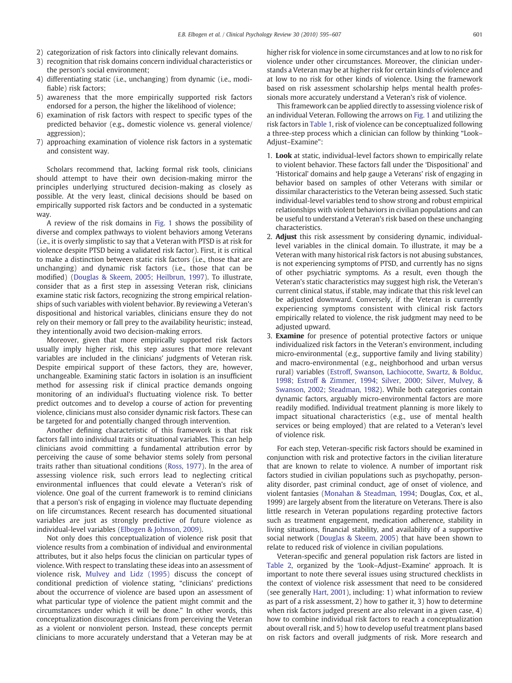- 2) categorization of risk factors into clinically relevant domains.
- 3) recognition that risk domains concern individual characteristics or the person's social environment;
- 4) differentiating static (i.e., unchanging) from dynamic (i.e., modifiable) risk factors;
- 5) awareness that the more empirically supported risk factors endorsed for a person, the higher the likelihood of violence;
- 6) examination of risk factors with respect to specific types of the predicted behavior (e.g., domestic violence vs. general violence/ aggression);
- 7) approaching examination of violence risk factors in a systematic and consistent way.

Scholars recommend that, lacking formal risk tools, clinicians should attempt to have their own decision-making mirror the principles underlying structured decision-making as closely as possible. At the very least, clinical decisions should be based on empirically supported risk factors and be conducted in a systematic way.

A review of the risk domains in [Fig. 1](#page-2-0) shows the possibility of diverse and complex pathways to violent behaviors among Veterans (i.e., it is overly simplistic to say that a Veteran with PTSD is at risk for violence despite PTSD being a validated risk factor). First, it is critical to make a distinction between static risk factors (i.e., those that are unchanging) and dynamic risk factors (i.e., those that can be modified) ([Douglas & Skeem, 2005; Heilbrun, 1997\)](#page-10-0). To illustrate, consider that as a first step in assessing Veteran risk, clinicians examine static risk factors, recognizing the strong empirical relationships of such variables with violent behavior. By reviewing a Veteran's dispositional and historical variables, clinicians ensure they do not rely on their memory or fall prey to the availability heuristic; instead, they intentionally avoid two decision-making errors.

Moreover, given that more empirically supported risk factors usually imply higher risk, this step assures that more relevant variables are included in the clinicians' judgments of Veteran risk. Despite empirical support of these factors, they are, however, unchangeable. Examining static factors in isolation is an insufficient method for assessing risk if clinical practice demands ongoing monitoring of an individual's fluctuating violence risk. To better predict outcomes and to develop a course of action for preventing violence, clinicians must also consider dynamic risk factors. These can be targeted for and potentially changed through intervention.

Another defining characteristic of this framework is that risk factors fall into individual traits or situational variables. This can help clinicians avoid committing a fundamental attribution error by perceiving the cause of some behavior stems solely from personal traits rather than situational conditions [\(Ross, 1977\)](#page-11-0). In the area of assessing violence risk, such errors lead to neglecting critical environmental influences that could elevate a Veteran's risk of violence. One goal of the current framework is to remind clinicians that a person's risk of engaging in violence may fluctuate depending on life circumstances. Recent research has documented situational variables are just as strongly predictive of future violence as individual-level variables [\(Elbogen & Johnson, 2009](#page-10-0)).

Not only does this conceptualization of violence risk posit that violence results from a combination of individual and environmental attributes, but it also helps focus the clinician on particular types of violence. With respect to translating these ideas into an assessment of violence risk, [Mulvey and Lidz \(1995\)](#page-11-0) discuss the concept of conditional prediction of violence stating, "clinicians' predictions about the occurrence of violence are based upon an assessment of what particular type of violence the patient might commit and the circumstances under which it will be done." In other words, this conceptualization discourages clinicians from perceiving the Veteran as a violent or nonviolent person. Instead, these concepts permit clinicians to more accurately understand that a Veteran may be at

higher risk for violence in some circumstances and at low to no risk for violence under other circumstances. Moreover, the clinician understands a Veteran may be at higher risk for certain kinds of violence and at low to no risk for other kinds of violence. Using the framework based on risk assessment scholarship helps mental health professionals more accurately understand a Veteran's risk of violence.

This framework can be applied directly to assessing violence risk of an individual Veteran. Following the arrows on [Fig. 1](#page-2-0) and utilizing the risk factors in [Table 1](#page-5-0), risk of violence can be conceptualized following a three-step process which a clinician can follow by thinking "Look– Adjust–Examine":

- 1. Look at static, individual-level factors shown to empirically relate to violent behavior. These factors fall under the 'Dispositional' and 'Historical' domains and help gauge a Veterans' risk of engaging in behavior based on samples of other Veterans with similar or dissimilar characteristics to the Veteran being assessed. Such static individual-level variables tend to show strong and robust empirical relationships with violent behaviors in civilian populations and can be useful to understand a Veteran's risk based on these unchanging characteristics.
- 2. **Adjust** this risk assessment by considering dynamic, individuallevel variables in the clinical domain. To illustrate, it may be a Veteran with many historical risk factors is not abusing substances, is not experiencing symptoms of PTSD, and currently has no signs of other psychiatric symptoms. As a result, even though the Veteran's static characteristics may suggest high risk, the Veteran's current clinical status, if stable, may indicate that this risk level can be adjusted downward. Conversely, if the Veteran is currently experiencing symptoms consistent with clinical risk factors empirically related to violence, the risk judgment may need to be adjusted upward.
- 3. Examine for presence of potential protective factors or unique individualized risk factors in the Veteran's environment, including micro-environmental (e.g., supportive family and living stability) and macro-environmental (e.g., neighborhood and urban versus rural) variables [\(Estroff, Swanson, Lachiocotte, Swartz, & Bolduc,](#page-10-0) [1998; Estroff & Zimmer, 1994; Silver, 2000; Silver, Mulvey, &](#page-10-0) [Swanson, 2002; Steadman, 1982\)](#page-10-0). While both categories contain dynamic factors, arguably micro-environmental factors are more readily modified. Individual treatment planning is more likely to impact situational characteristics (e.g., use of mental health services or being employed) that are related to a Veteran's level of violence risk.

For each step, Veteran-specific risk factors should be examined in conjunction with risk and protective factors in the civilian literature that are known to relate to violence. A number of important risk factors studied in civilian populations such as psychopathy, personality disorder, past criminal conduct, age of onset of violence, and violent fantasies [\(Monahan & Steadman, 1994;](#page-11-0) Douglas, Cox, et al., 1999) are largely absent from the literature on Veterans. There is also little research in Veteran populations regarding protective factors such as treatment engagement, medication adherence, stability in living situations, financial stability, and availability of a supportive social network ([Douglas & Skeem, 2005](#page-10-0)) that have been shown to relate to reduced risk of violence in civilian populations.

Veteran-specific and general population risk factors are listed in [Table 2](#page-7-0), organized by the 'Look–Adjust–Examine' approach. It is important to note there several issues using structured checklists in the context of violence risk assessment that need to be considered (see generally [Hart, 2001\)](#page-10-0), including: 1) what information to review as part of a risk assessment, 2) how to gather it, 3) how to determine when risk factors judged present are also relevant in a given case, 4) how to combine individual risk factors to reach a conceptualization about overall risk, and 5) how to develop useful treatment plans based on risk factors and overall judgments of risk. More research and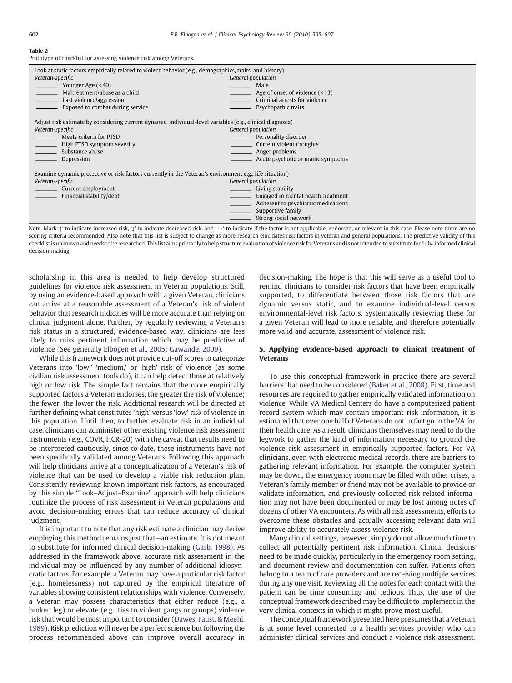#### <span id="page-7-0"></span>Table 2

Prototype of checklist for assessing violence risk among Veterans.

| Look at static factors empirically related to violent behavior (e.g., demographics, traits, and history)<br>Veteran-specific<br>$\frac{1}{2}$ Younger Age (<40)<br>Maltreatment/abuse as a child<br>Past violence/aggression<br>Exposed to combat during service | General population<br>Male<br>$\frac{1}{2}$ Age of onset of violence (<13)<br>Criminal arrests for violence<br>Psychopathic traits                                                                                 |
|------------------------------------------------------------------------------------------------------------------------------------------------------------------------------------------------------------------------------------------------------------------|--------------------------------------------------------------------------------------------------------------------------------------------------------------------------------------------------------------------|
| Adjust risk estimate by considering current dynamic, individual-level variables (e.g., clinical diagnosis)<br>Veteran-specific<br>Meets criteria for PTSD<br>- High PTSD symptom severity<br>Substance abuse<br>Depression                                       | General population<br><b>Example 12</b> Personality disorder<br>Current violent thoughts<br>Anger problems<br>Acute psychotic or manic symptoms                                                                    |
| Examine dynamic protective or risk factors currently in the Veteran's environment e.g., life situation)<br>Veteran-specific<br>Current employment<br>Financial stability/debt                                                                                    | General population<br>Living stability<br>Engaged in mental health treatment<br>Adherent to psychiatric medications<br>Supportive family<br><u>and the second</u><br>Strong social network<br><u>and the state</u> |

Note. Mark '↑' to indicate increased risk, '↓' to indicate decreased risk, and '↔' to indicate if the factor is not applicable, endorsed, or relevant in this case. Please note there are no scoring criteria recommended. Also note that this list is subject to change as more research elucidates risk factors in veteran and general populations. The predictive validity of this checklist is unknown and needs to be researched. This list aims primarily to help structure evaluation of violence risk for Veterans and is not intended to substitute for fully-informed clinical decision-making.

scholarship in this area is needed to help develop structured guidelines for violence risk assessment in Veteran populations. Still, by using an evidence-based approach with a given Veteran, clinicians can arrive at a reasonable assessment of a Veteran's risk of violent behavior that research indicates will be more accurate than relying on clinical judgment alone. Further, by regularly reviewing a Veteran's risk status in a structured, evidence-based way, clinicians are less likely to miss pertinent information which may be predictive of violence (See generally [Elbogen et al., 2005; Gawande, 2009\)](#page-10-0).

While this framework does not provide cut-off scores to categorize Veterans into 'low,' 'medium,' or 'high' risk of violence (as some civilian risk assessment tools do), it can help detect those at relatively high or low risk. The simple fact remains that the more empirically supported factors a Veteran endorses, the greater the risk of violence; the fewer, the lower the risk. Additional research will be directed at further defining what constitutes 'high' versus 'low' risk of violence in this population. Until then, to further evaluate risk in an individual case, clinicians can administer other existing violence risk assessment instruments (e.g., COVR, HCR-20) with the caveat that results need to be interpreted cautiously, since to date, these instruments have not been specifically validated among Veterans. Following this approach will help clinicians arrive at a conceptualization of a Veteran's risk of violence that can be used to develop a viable risk reduction plan. Consistently reviewing known important risk factors, as encouraged by this simple "Look–Adjust–Examine" approach will help clinicians routinize the process of risk assessment in Veteran populations and avoid decision-making errors that can reduce accuracy of clinical judgment.

It is important to note that any risk estimate a clinician may derive employing this method remains just that—an estimate. It is not meant to substitute for informed clinical decision-making ([Garb, 1998\)](#page-10-0). As addressed in the framework above, accurate risk assessment in the individual may be influenced by any number of additional idiosyncratic factors. For example, a Veteran may have a particular risk factor (e.g., homelessness) not captured by the empirical literature of variables showing consistent relationships with violence. Conversely, a Veteran may possess characteristics that either reduce (e.g., a broken leg) or elevate (e.g., ties to violent gangs or groups) violence risk that would be most important to consider [\(Dawes, Faust, & Meehl,](#page-10-0) [1989\)](#page-10-0). Risk prediction will never be a perfect science but following the process recommended above can improve overall accuracy in

decision-making. The hope is that this will serve as a useful tool to remind clinicians to consider risk factors that have been empirically supported, to differentiate between those risk factors that are dynamic versus static, and to examine individual-level versus environmental-level risk factors. Systematically reviewing these for a given Veteran will lead to more reliable, and therefore potentially more valid and accurate, assessment of violence risk.

# 5. Applying evidence-based approach to clinical treatment of Veterans

To use this conceptual framework in practice there are several barriers that need to be considered ([Baker et al., 2008](#page-9-0)). First, time and resources are required to gather empirically validated information on violence. While VA Medical Centers do have a computerized patient record system which may contain important risk information, it is estimated that over one half of Veterans do not in fact go to the VA for their health care. As a result, clinicians themselves may need to do the legwork to gather the kind of information necessary to ground the violence risk assessment in empirically supported factors. For VA clinicians, even with electronic medical records, there are barriers to gathering relevant information. For example, the computer system may be down, the emergency room may be filled with other crises, a Veteran's family member or friend may not be available to provide or validate information, and previously collected risk related information may not have been documented or may be lost among notes of dozens of other VA encounters. As with all risk assessments, efforts to overcome these obstacles and actually accessing relevant data will improve ability to accurately assess violence risk.

Many clinical settings, however, simply do not allow much time to collect all potentially pertinent risk information. Clinical decisions need to be made quickly, particularly in the emergency room setting, and document review and documentation can suffer. Patients often belong to a team of care providers and are receiving multiple services during any one visit. Reviewing all the notes for each contact with the patient can be time consuming and tedious. Thus, the use of the conceptual framework described may be difficult to implement in the very clinical contexts in which it might prove most useful.

The conceptual framework presented here presumes that a Veteran is at some level connected to a health services provider who can administer clinical services and conduct a violence risk assessment.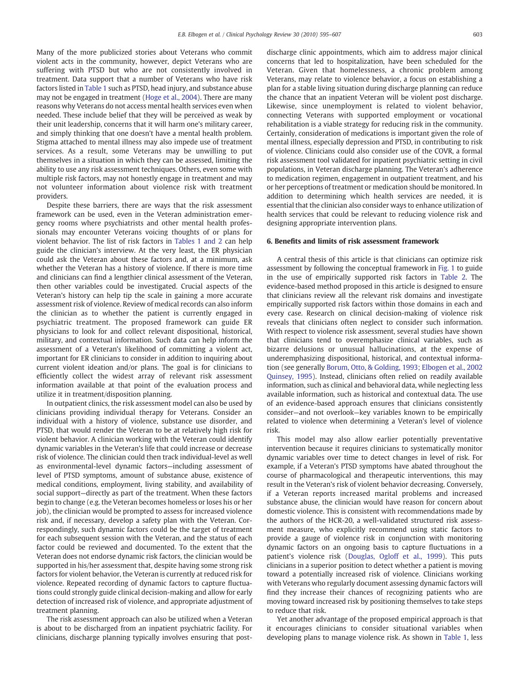Many of the more publicized stories about Veterans who commit violent acts in the community, however, depict Veterans who are suffering with PTSD but who are not consistently involved in treatment. Data support that a number of Veterans who have risk factors listed in [Table 1](#page-5-0) such as PTSD, head injury, and substance abuse may not be engaged in treatment [\(Hoge et al., 2004](#page-10-0)). There are many reasons why Veterans do not access mental health services even when needed. These include belief that they will be perceived as weak by their unit leadership, concerns that it will harm one's military career, and simply thinking that one doesn't have a mental health problem. Stigma attached to mental illness may also impede use of treatment services. As a result, some Veterans may be unwilling to put themselves in a situation in which they can be assessed, limiting the ability to use any risk assessment techniques. Others, even some with multiple risk factors, may not honestly engage in treatment and may not volunteer information about violence risk with treatment providers.

Despite these barriers, there are ways that the risk assessment framework can be used, even in the Veteran administration emergency rooms where psychiatrists and other mental health professionals may encounter Veterans voicing thoughts of or plans for violent behavior. The list of risk factors in [Tables 1 and 2](#page-5-0) can help guide the clinician's interview. At the very least, the ER physician could ask the Veteran about these factors and, at a minimum, ask whether the Veteran has a history of violence. If there is more time and clinicians can find a lengthier clinical assessment of the Veteran, then other variables could be investigated. Crucial aspects of the Veteran's history can help tip the scale in gaining a more accurate assessment risk of violence. Review of medical records can also inform the clinician as to whether the patient is currently engaged in psychiatric treatment. The proposed framework can guide ER physicians to look for and collect relevant dispositional, historical, military, and contextual information. Such data can help inform the assessment of a Veteran's likelihood of committing a violent act, important for ER clinicians to consider in addition to inquiring about current violent ideation and/or plans. The goal is for clinicians to efficiently collect the widest array of relevant risk assessment information available at that point of the evaluation process and utilize it in treatment/disposition planning.

In outpatient clinics, the risk assessment model can also be used by clinicians providing individual therapy for Veterans. Consider an individual with a history of violence, substance use disorder, and PTSD, that would render the Veteran to be at relatively high risk for violent behavior. A clinician working with the Veteran could identify dynamic variables in the Veteran's life that could increase or decrease risk of violence. The clinician could then track individual-level as well as environmental-level dynamic factors—including assessment of level of PTSD symptoms, amount of substance abuse, existence of medical conditions, employment, living stability, and availability of social support—directly as part of the treatment. When these factors begin to change (e.g. the Veteran becomes homeless or loses his or her job), the clinician would be prompted to assess for increased violence risk and, if necessary, develop a safety plan with the Veteran. Correspondingly, such dynamic factors could be the target of treatment for each subsequent session with the Veteran, and the status of each factor could be reviewed and documented. To the extent that the Veteran does not endorse dynamic risk factors, the clinician would be supported in his/her assessment that, despite having some strong risk factors for violent behavior, the Veteran is currently at reduced risk for violence. Repeated recording of dynamic factors to capture fluctuations could strongly guide clinical decision-making and allow for early detection of increased risk of violence, and appropriate adjustment of treatment planning.

The risk assessment approach can also be utilized when a Veteran is about to be discharged from an inpatient psychiatric facility. For clinicians, discharge planning typically involves ensuring that postdischarge clinic appointments, which aim to address major clinical concerns that led to hospitalization, have been scheduled for the Veteran. Given that homelessness, a chronic problem among Veterans, may relate to violence behavior, a focus on establishing a plan for a stable living situation during discharge planning can reduce the chance that an inpatient Veteran will be violent post discharge. Likewise, since unemployment is related to violent behavior, connecting Veterans with supported employment or vocational rehabilitation is a viable strategy for reducing risk in the community. Certainly, consideration of medications is important given the role of mental illness, especially depression and PTSD, in contributing to risk of violence. Clinicians could also consider use of the COVR, a formal risk assessment tool validated for inpatient psychiatric setting in civil populations, in Veteran discharge planning. The Veteran's adherence to medication regimen, engagement in outpatient treatment, and his or her perceptions of treatment or medication should be monitored. In addition to determining which health services are needed, it is essential that the clinician also consider ways to enhance utilization of health services that could be relevant to reducing violence risk and designing appropriate intervention plans.

# 6. Benefits and limits of risk assessment framework

A central thesis of this article is that clinicians can optimize risk assessment by following the conceptual framework in [Fig. 1](#page-2-0) to guide in the use of empirically supported risk factors in [Table 2.](#page-7-0) The evidence-based method proposed in this article is designed to ensure that clinicians review all the relevant risk domains and investigate empirically supported risk factors within those domains in each and every case. Research on clinical decision-making of violence risk reveals that clinicians often neglect to consider such information. With respect to violence risk assessment, several studies have shown that clinicians tend to overemphasize clinical variables, such as bizarre delusions or unusual hallucinations, at the expense of underemphasizing dispositional, historical, and contextual information (see generally [Borum, Otto, & Golding, 1993; Elbogen et al., 2002](#page-9-0) [Quinsey, 1995](#page-9-0)). Instead, clinicians often relied on readily available information, such as clinical and behavioral data, while neglecting less available information, such as historical and contextual data. The use of an evidence-based approach ensures that clinicians consistently consider—and not overlook—key variables known to be empirically related to violence when determining a Veteran's level of violence risk.

This model may also allow earlier potentially preventative intervention because it requires clinicians to systematically monitor dynamic variables over time to detect changes in level of risk. For example, if a Veteran's PTSD symptoms have abated throughout the course of pharmacological and therapeutic interventions, this may result in the Veteran's risk of violent behavior decreasing. Conversely, if a Veteran reports increased marital problems and increased substance abuse, the clinician would have reason for concern about domestic violence. This is consistent with recommendations made by the authors of the HCR-20, a well-validated structured risk assessment measure, who explicitly recommend using static factors to provide a gauge of violence risk in conjunction with monitoring dynamic factors on an ongoing basis to capture fluctuations in a patient's violence risk [\(Douglas, Ogloff et al., 1999\)](#page-10-0). This puts clinicians in a superior position to detect whether a patient is moving toward a potentially increased risk of violence. Clinicians working with Veterans who regularly document assessing dynamic factors will find they increase their chances of recognizing patients who are moving toward increased risk by positioning themselves to take steps to reduce that risk.

Yet another advantage of the proposed empirical approach is that it encourages clinicians to consider situational variables when developing plans to manage violence risk. As shown in [Table 1,](#page-5-0) less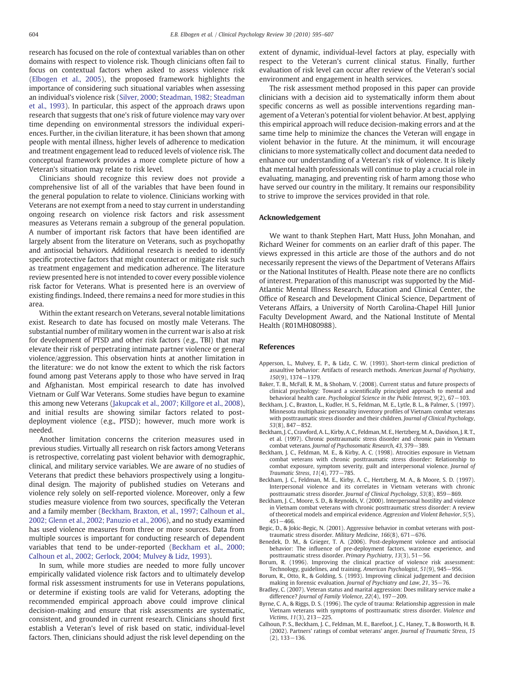<span id="page-9-0"></span>research has focused on the role of contextual variables than on other domains with respect to violence risk. Though clinicians often fail to focus on contextual factors when asked to assess violence risk [\(Elbogen et al., 2005\)](#page-10-0), the proposed framework highlights the importance of considering such situational variables when assessing an individual's violence risk [\(Silver, 2000; Steadman, 1982; Steadman](#page-11-0) [et al., 1993\)](#page-11-0). In particular, this aspect of the approach draws upon research that suggests that one's risk of future violence may vary over time depending on environmental stressors the individual experiences. Further, in the civilian literature, it has been shown that among people with mental illness, higher levels of adherence to medication and treatment engagement lead to reduced levels of violence risk. The conceptual framework provides a more complete picture of how a Veteran's situation may relate to risk level.

Clinicians should recognize this review does not provide a comprehensive list of all of the variables that have been found in the general population to relate to violence. Clinicians working with Veterans are not exempt from a need to stay current in understanding ongoing research on violence risk factors and risk assessment measures as Veterans remain a subgroup of the general population. A number of important risk factors that have been identified are largely absent from the literature on Veterans, such as psychopathy and antisocial behaviors. Additional research is needed to identify specific protective factors that might counteract or mitigate risk such as treatment engagement and medication adherence. The literature review presented here is not intended to cover every possible violence risk factor for Veterans. What is presented here is an overview of existing findings. Indeed, there remains a need for more studies in this area.

Within the extant research on Veterans, several notable limitations exist. Research to date has focused on mostly male Veterans. The substantial number of military women in the current war is also at risk for development of PTSD and other risk factors (e.g., TBI) that may elevate their risk of perpetrating intimate partner violence or general violence/aggression. This observation hints at another limitation in the literature: we do not know the extent to which the risk factors found among past Veterans apply to those who have served in Iraq and Afghanistan. Most empirical research to date has involved Vietnam or Gulf War Veterans. Some studies have begun to examine this among new Veterans [\(Jakupcak et al., 2007; Killgore et al., 2008](#page-10-0)), and initial results are showing similar factors related to postdeployment violence (e.g., PTSD); however, much more work is needed.

Another limitation concerns the criterion measures used in previous studies. Virtually all research on risk factors among Veterans is retrospective, correlating past violent behavior with demographic, clinical, and military service variables. We are aware of no studies of Veterans that predict these behaviors prospectively using a longitudinal design. The majority of published studies on Veterans and violence rely solely on self-reported violence. Moreover, only a few studies measure violence from two sources, specifically the Veteran and a family member (Beckham, Braxton, et al., 1997; Calhoun et al., 2002; Glenn et al., 2002; Panuzio et al., 2006), and no study examined has used violence measures from three or more sources. Data from multiple sources is important for conducting research of dependent variables that tend to be under-reported (Beckham et al., 2000; Calhoun et al., 2002; Gerlock, 2004; Mulvey & Lidz, 1993).

In sum, while more studies are needed to more fully uncover empirically validated violence risk factors and to ultimately develop formal risk assessment instruments for use in Veterans populations, or determine if existing tools are valid for Veterans, adopting the recommended empirical approach above could improve clinical decision-making and ensure that risk assessments are systematic, consistent, and grounded in current research. Clinicians should first establish a Veteran's level of risk based on static, individual-level factors. Then, clinicians should adjust the risk level depending on the

extent of dynamic, individual-level factors at play, especially with respect to the Veteran's current clinical status. Finally, further evaluation of risk level can occur after review of the Veteran's social environment and engagement in health services.

The risk assessment method proposed in this paper can provide clinicians with a decision aid to systematically inform them about specific concerns as well as possible interventions regarding management of a Veteran's potential for violent behavior. At best, applying this empirical approach will reduce decision-making errors and at the same time help to minimize the chances the Veteran will engage in violent behavior in the future. At the minimum, it will encourage clinicians to more systematically collect and document data needed to enhance our understanding of a Veteran's risk of violence. It is likely that mental health professionals will continue to play a crucial role in evaluating, managing, and preventing risk of harm among those who have served our country in the military. It remains our responsibility to strive to improve the services provided in that role.

#### Acknowledgement

We want to thank Stephen Hart, Matt Huss, John Monahan, and Richard Weiner for comments on an earlier draft of this paper. The views expressed in this article are those of the authors and do not necessarily represent the views of the Department of Veterans Affairs or the National Institutes of Health. Please note there are no conflicts of interest. Preparation of this manuscript was supported by the Mid-Atlantic Mental Illness Research, Education and Clinical Center, the Office of Research and Development Clinical Science, Department of Veterans Affairs, a University of North Carolina-Chapel Hill Junior Faculty Development Award, and the National Institute of Mental Health (R01MH080988).

#### References

- Apperson, L., Mulvey, E. P., & Lidz, C. W. (1993). Short-term clinical prediction of assaultive behavior: Artifacts of research methods. American Journal of Psychiatry, 150(9), 1374−1379.
- Baker, T. B., McFall, R. M., & Shoham, V. (2008). Current status and future prospects of clinical psychology: Toward a scientifically principled approach to mental and behavioral health care. Psychological Science in the Public Interest, 9(2), 67−103.
- Beckham, J. C., Braxton, L., Kudler, H. S., Feldman, M. E., Lytle, B. L., & Palmer, S. (1997). Minnesota multiphasic personality inventory profiles of Vietnam combat veterans with posttraumatic stress disorder and their children. Journal of Clinical Psychology, 53(8), 847−852.
- Beckham, J. C., Crawford, A. L., Kirby, A. C., Feldman, M. E., Hertzberg, M. A., Davidson, J. R. T., et al. (1997). Chronic posttraumatic stress disorder and chronic pain in Vietnam combat veterans. Journal of Psychosomatic Research, 43, 379−389.
- Beckham, J. C., Feldman, M. E., & Kirby, A. C. (1998). Atrocities exposure in Vietnam combat veterans with chronic posttraumatic stress disorder: Relationship to combat exposure, symptom severity, guilt and interpersonal violence. Journal of Traumatic Stress, 11(4), 777−785.
- Beckham, J. C., Feldman, M. E., Kirby, A. C., Hertzberg, M. A., & Moore, S. D. (1997). Interpersonal violence and its correlates in Vietnam veterans with chronic posttraumatic stress disorder. Journal of Clinical Psychology, 53(8), 859−869.
- Beckham, J. C., Moore, S. D., & Reynolds, V. (2000). Interpersonal hostility and violence in Vietnam combat veterans with chronic posttraumatic stress disorder: A review of theoretical models and empirical evidence. Aggression and Violent Behavior, 5(5), 451−466.
- Begic, D., & Jokic-Begic, N. (2001). Aggressive behavior in combat veterans with posttraumatic stress disorder. Military Medicine, 166(8), 671−676.
- Benedek, D. M., & Grieger, T. A. (2006). Post-deployment violence and antisocial behavior: The influence of pre-deployment factors, warzone experience, and posttraumatic stress disorder. Primary Psychiatry, 13(3), 51−56.
- Borum, R. (1996). Improving the clinical practice of violence risk assessment: Technology, guidelines, and training. American Psychologist, 51(9), 945−956.
- Borum, R., Otto, R., & Golding, S. (1993). Improving clinical judgement and decision making in forensic evaluation. Journal of Psychiatry and Law, 21, 35−76.
- Bradley, C. (2007). Veteran status and marital aggression: Does military service make a difference? Journal of Family Violence, 22(4), 197−209.
- Byrne, C. A., & Riggs, D. S. (1996). The cycle of trauma: Relationship aggression in male Vietnam veterans with symptoms of posttraumatic stress disorder. Violence and Victims, 11(3), 213−225.
- Calhoun, P. S., Beckham, J. C., Feldman, M. E., Barefoot, J. C., Haney, T., & Bosworth, H. B. (2002). Partners' ratings of combat veterans' anger. Journal of Traumatic Stress, 15 (2), 133−136.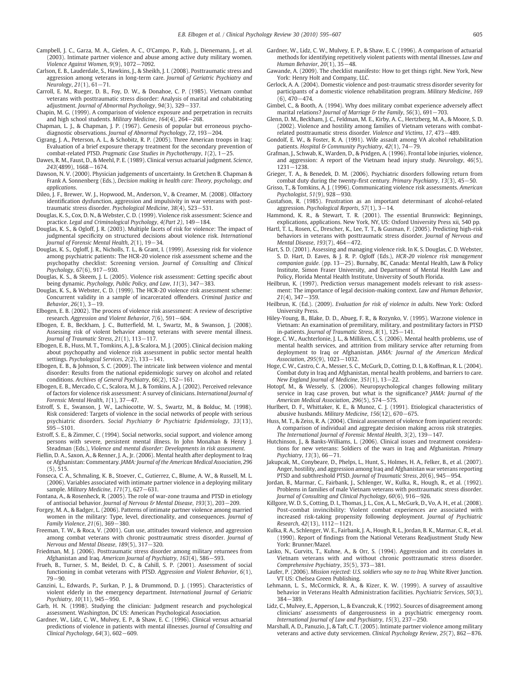- <span id="page-10-0"></span>Campbell, J. C., Garza, M. A., Gielen, A. C., O'Campo, P., Kub, J., Dienemann, J., et al. (2003). Intimate partner violence and abuse among active duty military women. Violence Against Women, 9(9), 1072−7092.
- Carlson, E. B., Lauderdale, S., Hawkins, J., & Sheikh, J. I. (2008). Posttraumatic stress and aggression among veterans in long-term care. Journal of Geriatric Psychiatry and Neurology, 21(1), 61−71.
- Carroll, E. M., Rueger, D. B., Foy, D. W., & Donahoe, C. P. (1985). Vietnam combat veterans with posttraumatic stress disorder: Analysis of marital and cohabitating adjustment. Journal of Abnormal Psychology, 94(3), 329−337.
- Chapin, M. G. (1999). A comparison of violence exposure and perpetration in recruits and high school students. Military Medicine, 164(4), 264−268.
- Chapman, L. J., & Chapman, J. P. (1967). Genesis of popular but erroneous psychodiagnostic observations. Journal of Abnormal Psychology, 72, 193−204.
- Cigrang, J. A., Peterson, A. L., & Schobitz, R. P. (2005). Three American troops in Iraq: Evaluation of a brief exposure therapy treatment for the secondary prevention of combat-related PTSD. Pragmatic Case Studies in Psychotherapy, 1(2), 1−25.
- Dawes, R. M., Faust, D., & Meehl, P. E. (1989). Clinical versus actuarial judgment. Science, 243(4899), 1668−1674.
- Dawson, N. V. (2000). Physician judgements of uncertainty. In Gretchen B. Chapman & Frank A. Sonnenberg (Eds.), Decision making in health care: Theory, psychology, and applications.
- Dileo, J. F., Brewer, W. J., Hopwood, M., Anderson, V., & Creamer, M. (2008). Olfactory identification dysfunction, aggression and impulsivity in war veterans with posttraumatic stress disorder. Psychological Medicine, 38(4), 523−531.
- Douglas, K. S., Cox, D. N., & Webster, C. D. (1999). Violence risk assessment: Science and practice. Legal and Criminological Psychology, 4(Part 2), 149−184.
- Douglas, K. S., & Ogloff, J. R. (2003). Multiple facets of risk for violence: The impact of judgmental specificity on structured decisions about violence risk. International Journal of Forensic Mental Health, 2(1), 19−34.
- Douglas, K. S., Ogloff, J. R., Nicholls, T. L., & Grant, I. (1999). Assessing risk for violence among psychiatric patients: The HCR-20 violence risk assessment scheme and the psychopathy checklist: Screening version. Journal of Consulting and Clinical Psychology, 67(6), 917−930.
- Douglas, K. S., & Skeem, J. L. (2005). Violence risk assessment: Getting specific about being dynamic. Psychology, Public Policy, and Law, 11(3), 347−383.
- Douglas, K. S., & Webster, C. D. (1999). The HCR-20 violence risk assessment scheme: Concurrent validity in a sample of incarcerated offenders. Criminal Justice and Behavior, 26(1), 3−19.
- Elbogen, E. B. (2002). The process of violence risk assessment: A review of descriptive research. Aggression and Violent Behavior, 7(6), 591−604.
- Elbogen, E. B., Beckham, J. C., Butterfield, M. I., Swartz, M., & Swanson, J. (2008). Assessing risk of violent behavior among veterans with severe mental illness. Journal of Traumatic Stress, 21(1), 113−117.
- Elbogen, E. B., Huss, M. T., Tomkins, A. J., & Scalora, M. J. (2005). Clinical decision making about psychopathy and violence risk assessment in public sector mental health settings. Psychological Services, 2(2), 133−141.
- Elbogen, E. B., & Johnson, S. C. (2009). The intricate link between violence and mental disorder: Results from the national epidemiologic survey on alcohol and related conditions. Archives of General Psychiatry, 66(2), 152−161.
- Elbogen, E. B., Mercado, C. C., Scalora, M. J., & Tomkins, A. J. (2002). Perceived relevance of factors for violence risk assessment: A survey of clinicians. International Journal of Forensic Mental Health, 1(1), 37−47.
- Estroff, S. E., Swanson, J. W., Lachiocotte, W. S., Swartz, M., & Bolduc, M. (1998). Risk considered: Targets of violence in the social networks of people with serious psychiatric disorders. Social Psychiatry & Psychiatric Epidemiology, 33(13), S95−S101.
- Estroff, S. E., & Zimmer, C. (1994). Social networks, social support, and violence among persons with severe, persistent mental illness. In John Monahan & Henry J. Steadman (Eds.), Violence and mental disorder: Developments in risk assessment.
- Fiellin, D. A., Saxon, A., & Renner, J. A., Jr. (2006). Mental health after deployment to Iraq or Afghanistan: Commentary. JAMA: Journal of the American Medical Association, 296 (5), 515.
- Fonseca, C. A., Schmaling, K. B., Stoever, C., Gutierrez, C., Blume, A. W., & Russell, M. L. (2006). Variables associated with intimate partner violence in a deploying military sample. Military Medicine, 171(7), 627−631.
- Fontana, A., & Rosenheck, R. (2005). The role of war-zone trauma and PTSD in etiology of antisocial behavior. Journal of Nervous & Mental Disease, 193(3), 203−209.
- Forgey, M. A., & Badger, L. (2006). Patterns of intimate partner violence among married women in the military: Type, level, directionality, and consequences. Journal oJ<br>Family Violence, 21(6), 369—380.
- Freeman, T. W., & Roca, V. (2001). Gun use, attitudes toward violence, and aggression among combat veterans with chronic posttraumatic stress disorder. Journal of Nervous and Mental Disease, 189(5), 317−320.
- Friedman, M. J. (2006). Posttraumatic stress disorder among military returnees from Afghanistan and Iraq. American Journal of Psychiatry, 163(4), 586−593.
- Frueh, B., Turner, S. M., Beidel, D. C., & Cahill, S. P. (2001). Assessment of social functioning in combat veterans with PTSD. Aggression and Violent Behavior, 6(1), 79−90.
- Ganzini, L., Edwards, P., Surkan, P. J., & Drummond, D. J. (1995). Characteristics of violent elderly in the emergency department. International Journal of Geriatric Psychiatry, 10(11), 945−950.
- Garb, H. N. (1998). Studying the clinician: Judgment research and psychological assessment. Washington, DC US: American Psychological Association.
- Gardner, W., Lidz, C. W., Mulvey, E. P., & Shaw, E. C. (1996). Clinical versus actuarial predictions of violence in patients with mental illnesses. Journal of Consulting and Clinical Psychology, 64(3), 602−609.
- Gardner, W., Lidz, C. W., Mulvey, E. P., & Shaw, E. C. (1996). A comparison of actuarial methods for identifying repetitively violent patients with mental illnesses. Law and Human Behavior, 20(1), 35−48.
- Gawande, A. (2009). The checklist manifesto: How to get things right. New York, New York: Henry Holt and Company, LLC.
- Gerlock, A. A. (2004). Domestic violence and post-traumatic stress disorder severity for participants of a domestic violence rehabilitation program. Military Medicine, 169 (6), 470−474.
- Gimbel, C., & Booth, A. (1994). Why does military combat experience adversely affect marital relations? Journal of Marriage & the Family, 56(3), 691−703.
- Glenn, D. M., Beckham, J. C., Feldman, M. E., Kirby, A. C., Hertzberg, M. A., & Moore, S. D. (2002). Violence and hostility among families of Vietnam veterans with combatrelated posttraumatic stress disorder. Violence and Victims, 17, 473−489.
- Gondolf, E. W., & Foster, R. A. (1991). Wife assault among VA alcohol rehabilitation patients. Hospital & Community Psychiatry, 42(1), 74−79.
- Grafman, J., Schwab, K., Warden, D., & Pridgen, A. (1996). Frontal lobe injuries, violence, and aggression: A report of the Vietnam head injury study. Neurology, 46(5), 1231−1238.
- Grieger, T. A., & Benedek, D. M. (2006). Psychiatric disorders following return from combat duty during the twenty-first century. Primary Psychiatry, 13(3), 45−50.
- Grisso, T., & Tomkins, A. J. (1996). Communicating violence risk assessments. American Psychologist, 51(9), 928−930.
- Gustafson, R. (1985). Frustration as an important determinant of alcohol-related aggression. Psychological Reports, 57(1), 3−14.
- Hammond, K. R., & Stewart, T. R. (2001). The essential Brunswick: Beginnings, explications, applications. New York, NY, US: Oxford University Press xii, 540 pp.
- Hartl, T. L., Rosen, C., Drescher, K., Lee, T. T., & Gusman, F. (2005). Predicting high-risk behaviors in veterans with posttraumatic stress disorder. Journal of Nervous and Mental Disease, 193(7), 464−472.
- Hart, S. D. (2001). Assessing and managing violence risk. In K. S. Douglas, C. D. Webster, S. D. Hart, D. Eaves, & J. R. P. Ogloff (Eds.), HCR-20 violence risk management companion guide. (pp. 13−25). Burnaby, BC, Canada: Mental Health, Law & Policy Institute, Simon Fraser University, and Department of Mental Health Law and Policy, Florida Mental Health Institute, University of South Florida.
- Heilbrun, K. (1997). Prediction versus management models relevant to risk assessment: The importance of legal decision-making context. Law and Human Behavior, 21(4), 347−359.
- Heilbrun, K. (Ed.). (2009). Evaluation for risk of violence in adults. New York: Oxford University Press.
- Hiley-Young, B., Blake, D. D., Abueg, F. R., & Rozynko, V. (1995). Warzone violence in Vietnam: An examination of premilitary, military, and postmilitary factors in PTSD in-patients. Journal of Traumatic Stress, 8(1), 125−141.
- Hoge, C. W., Auchterlonie, J. L., & Milliken, C. S. (2006). Mental health problems, use of mental health services, and attrition from military service after returning from deployment to Iraq or Afghanistan. JAMA: Journal of the American Medical Association, 295(9), 1023−1032.
- Hoge, C. W., Castro, C. A., Messer, S. C., McGurk, D., Cotting, D. I., & Koffman, R. L. (2004). Combat duty in Iraq and Afghanistan, mental health problems, and barriers to care. New England Journal of Medicine, 351(1), 13−22.
- Hotopf, M., & Wessely, S. (2006). Neuropsychological changes following military service in Iraq case proven, but what is the significance? JAMA: Journal of the American Medical Association, 296(5), 574−575.
- Hurlbert, D. F., Whittaker, K. E., & Munoz, C. J. (1991). Etiological characteristics of abusive husbands. Military Medicine, 156(12), 670−675.
- Huss, M. T., & Zeiss, R. A. (2004). Clinical assessment of violence from inpatient records: A comparison of individual and aggregate decision making across risk strategies. The International Journal of Forensic Mental Health, 3(2), 139−147.
- Hutchinson, J., & Banks-Williams, L. (2006). Clinical issues and treatment considerations for new veterans: Soldiers of the wars in Iraq and Afghanistan. Primary Psychiatry, 13(3), 66−71.
- Jakupcak, M., Conybeare, D., Phelps, L., Hunt, S., Holmes, H. A., Felker, B., et al. (2007). Anger, hostility, and aggression among Iraq and Afghanistan war veterans reporting PTSD and subthreshold PTSD. Journal of Traumatic Stress, 20(6), 945−954.
- Jordan, B., Marmar, C., Fairbank, J., Schlenger, W., Kulka, R., Hough, R., et al. (1992). Problems in families of male Vietnam veterans with posttraumatic stress disorder. Journal of Consulting and Clinical Psychology, 60(6), 916−926.
- Killgore, W. D. S., Cotting, D. I., Thomas, J. L., Cox, A. L., McGurk, D., Vo, A. H., et al. (2008). Post-combat invincibility: Violent combat experiences are associated with increased risk-taking propensity following deployment. Journal of Psychiatric Research, 42(13), 1112−1121.
- Kulka, R. A., Schlenger, W. E., Fairbank, J. A., Hough, R. L., Jordan, B. K., Marmar, C. R., et al. (1990). Report of findings from the National Veterans Readjustment Study New York: Brunner/Mazel.
- Lasko, N., Gurvits, T., Kuhne, A., & Orr, S. (1994). Aggression and its correlates in Vietnam veterans with and without chronic posttraumatic stress disorder. Comprehensive Psychiatry, 35(5), 373−381.
- Laufer, P. (2006). Mission rejected: U.S. soldiers who say no to Iraq. White River Junction. VT US: Chelsea Green Publishing.
- Lehmann, L. S., McCormick, R. A., & Kizer, K. W. (1999). A survey of assaultive behavior in Veterans Health Administration facilities. Psychiatric Services, 50(3), 384−389.
- Lidz, C., Mulvey, E., Apperson, L., & Evanczuk, K. (1992). Sources of disagreement among clinicians' assessments of dangerousness in a psychiatric emergency room. International Journal of Law and Psychiatry, 15(3), 237−250.
- Marshall, A. D., Panuzio, J., & Taft, C. T. (2005). Intimate partner violence among military veterans and active duty servicemen. Clinical Psychology Review, 25(7), 862−876.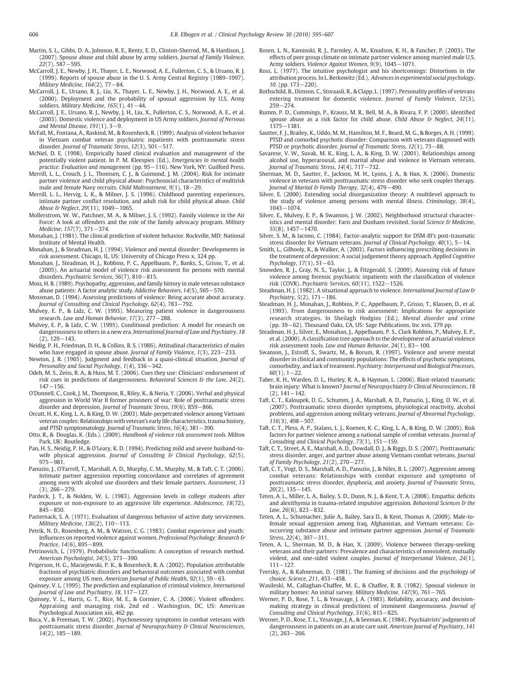- <span id="page-11-0"></span>Martin, S. L., Gibbs, D. A., Johnson, R. E., Rentz, E. D., Clinton-Sherrod, M., & Hardison, J. (2007). Spouse abuse and child abuse by army soldiers. Journal of Family Violence, 22(7), 587−595.
- McCarroll, J. E., Newby, J. H., Thayer, L. E., Norwood, A. E., Fullerton, C. S., & Ursano, R. J. (1999). Reports of spouse abuse in the U. S. Army Central Registry (1989–1997). Military Medicine, 164(2), 77−84.
- McCarroll, J. E., Ursano, R. J., Liu, X., Thayer, L. E., Newby, J. H., Norwood, A. E., et al. (2000). Deployment and the probability of spousal aggression by U.S. Army soldiers. Military Medicine, 165(1), 41−44.
- McCarroll, J. E., Ursano, R. J., Newby, J. H., Liu, X., Fullerton, C. S., Norwood, A. E., et al. (2003). Domestic violence and deployment in US Army soldiers. Journal of Nervous and Mental Disease, 191(1), 3−9.
- McFall, M., Fontana, A., Raskind, M., & Rosenheck, R. (1999). Analysis of violent behavior in Vietnam combat veteran psychiatric inpatients with posttraumatic stress disorder. Journal of Traumatic Stress, 12(3), 501−517.
- McNiel, D. E. (1998). Empirically based clinical evaluation and management of the potentially violent patient. In P. M. Kleespies (Ed.), Emergencies in mental health practice: Evaluation and management (pp. 95−116). New York, NY: Guilford Press.
- Merrill, L. L., Crouch, J. L., Thomsen, C. J., & Guimond, J. M. (2004). Risk for intimate partner violence and child physical abuse: Psychosocial characteristics of multirisk male and female Navy recruits. Child Maltreatment, 9(1), 18−29.
- Merrill, L. L., Hervig, L. K., & Milner, J. S. (1996). Childhood parenting experiences, intimate partner conflict resolution, and adult risk for child physical abuse. Child Abuse & Neglect, 20(11), 1049−1065.
- Mollerstrom, W. W., Patchner, M. A., & Milner, J. S. (1992). Family violence in the Air Force: A look at offenders and the role of the family advocacy program. Military Medicine, 157(7), 371−374.
- Monahan, J. (1981). The clinical prediction of violent behavior. Rockville, MD: National Institute of Mental Health.
- Monahan, J., & Steadman, H. J. (1994). Violence and mental disorder: Developments in risk assessment. Chicago, IL, US: University of Chicago Press x, 324 pp.
- Monahan, J., Steadman, H. J., Robbins, P. C., Appelbaum, P., Banks, S., Grisso, T., et al. (2005). An actuarial model of violence risk assessment for persons with mental disorders. Psychiatric Services, 56(7), 810−815.
- Moss, H. B. (1989). Psychopathy, aggression, and family history in male veteran substance abuse patients: A factor analytic study. Addictive Behaviors, 14(5), 565−570.
- Mossman, D. (1994). Assessing predictions of violence: Being accurate about accuracy. Journal of Consulting and Clinical Psychology, 62(4), 783−792.
- Mulvey, E. P., & Lidz, C. W. (1993). Measuring patient violence in dangerousness research. Law and Human Behavior, 17(3), 277−288.
- Mulvey, E. P., & Lidz, C. W. (1995). Conditional prediction: A model for research on dangerousness to others in a new era. International Journal of Law and Psychiatry, 18 (2), 129−143.
- Neidig, P. H., Friedman, D. H., & Collins, B. S. (1986). Attitudinal characteristics of males who have engaged in spouse abuse. Journal of Family Violence, 1(3), 223−233.
- Newton, J. R. (1965). Judgment and feedback in a quasi-clinical situation. Journal of Personality and Social Psychology, 1(4), 336−342.
- Odeh, M. S., Zeiss, R. A., & Huss, M. T. (2006). Cues they use: Clinicians' endorsement of risk cues in predictions of dangerousness. Behavioral Sciences & the Law,  $24(2)$ , 147−156.
- O'Donnell, C., Cook, J. M., Thompson, R., Riley, K., & Neria, Y. (2006). Verbal and physical aggression in World War II former prisoners of war: Role of posttraumatic stress disorder and depression. Journal of Traumatic Stress, 19(6), 859−866.
- Orcutt, H. K., King, L. A., & King, D. W. (2003). Male-perpetrated violence among Vietnam veteran couples: Relationships with veteran's early life characteristics, trauma history, and PTSD symptomatology. Journal of Traumatic Stress, 16(4), 381−390.
- Otto, R., & Douglas, K. (Eds.). (2009). Handbook of violence risk assessment tools. Milton Park, UK: Routledge.
- Pan, H. S., Neidig, P. H., & O'Leary, K. D. (1994). Predicting mild and severe husband-towife physical aggression. Journal of Consulting & Clinical Psychology, 62(5), 975−981.
- Panuzio, J., O'Farrell, T., Marshall, A. D., Murphy, C. M., Murphy, M., & Taft, C. T. (2006). Intimate partner aggression reporting concordance and correlates of agreement among men with alcohol use disorders and their female partners. Assessment, 13 (3), 266−279.
- Pardeck, J. T., & Nolden, W. L. (1983). Aggression levels in college students after exposure or non-exposure to an aggressive life experience. Adolescence, 18(72), 845−850.
- Pasternack, S. A. (1971). Evaluation of dangerous behavior of active duty servicemen. Military Medicine, 136(2), 110−113.
- Petrik, N. D., Rosenberg, A. M., & Watson, C. G. (1983). Combat experience and youth: Influences on reported violence against women. Professional Psychology: Research & Practice, 14(6), 895−899.
- Petrinovich, L. (1979). Probabilistic functionalism: A conception of research method. American Psychologist, 34(5), 373−390.
- Prigerson, H. G., Maciejewski, P. K., & Rosenheck, R. A. (2002). Population attributable fractions of psychiatric disorders and behavioral outcomes associated with combat exposure among US men. American Journal of Public Health, 92(1), 59−63.
- Quinsey, V. L. (1995). The prediction and explanation of criminal violence. International Journal of Law and Psychiatry, 18, 117−127. Quinsey, V. L., Harris, G. T., Rice, M. E., & Cormier, C. A. (2006). Violent offenders:
- Appraising and managing risk, 2nd ed . Washington, DC, US: American Psychological Association xiii, 462 pp.
- Roca, V., & Freeman, T. W. (2002). Psychosensory symptoms in combat veterans with posttraumatic stress disorder. Journal of Neuropsychiatry & Clinical Neurosciences, 14(2), 185−189.
- Rosen, L. N., Kaminski, R. J., Parmley, A. M., Knudson, K. H., & Fancher, P. (2003). The effects of peer group climate on intimate partner violence among married male U.S. Army soldiers. Violence Against Women, 9(9), 1045−1071.
- Ross, L. (1977). The intuitive psychologist and his shortcomings: Distortions in the attribution process. In L. Berkowitz (Ed.), Advances in experimental social psychology, 10. (pp. 173−220).
- Rothschild, B., Dimson, C., Storaasli, R., & Clapp, L. (1997). Personality profiles of veterans entering treatment for domestic violence. Journal of Family Violence, 12(3), 259−274.
- Rumm, P. D., Cummings, P., Krauss, M. R., Bell, M. A., & Rivara, F. P. (2000). Identified spouse abuse as a risk factor for child abuse. Child Abuse & Neglect, 24(11), 1375−1381.
- Sautter, F. J., Brailey, K., Uddo, M. M., Hamilton, M. F., Beard, M. G., & Borges, A. H. (1999). PTSD and comorbid psychotic disorder: Comparison with veterans diagnosed with PTSD or psychotic disorder. Journal of Traumatic Stress, 12(1), 73−88.
- Savarese, V. W., Suvak, M. K., King, L. A., & King, D. W. (2001). Relationships among alcohol use, hyperarousal, and marital abuse and violence in Vietnam veterans. Journal of Traumatic Stress, 14(4), 717−732.
- Sherman, M. D., Sautter, F., Jackson, M. H., Lyons, J. A., & Han, X. (2006). Domestic violence in veterans with posttraumatic stress disorder who seek couples therapy. Journal of Marital & Family Therapy, 32(4), 479−490.
- Silver, E. (2000). Extending social disorganization theory: A multilevel approach to the study of violence among persons with mental illness. Criminology, 38(4), 1043−1074.
- Silver, E., Mulvey, E. P., & Swanson, J. W. (2002). Neighborhood structural characteristics and mental disorder: Faris and Dunham revisited. Social Science & Medicine, 55(8), 1457−1470.
- Silver, S. M., & Iacono, C. (1984). Factor-analytic support for DSM-III's post-traumatic stress disorder for Vietnam veterans. Journal of Clinical Psychology, 40(1), 5−14.
- Smith, L., Gilhooly, K., & Walker, A. (2003). Factors influencing prescribing decisions in the treatment of depression: A social judgement theory approach. Applied Cognitive Psychology, 17(1), 51−63.
- Snowden, R. J., Gray, N. S., Taylor, J., & Fitzgerald, S. (2009). Assessing risk of future violence among forensic psychiatric inpatients with the classification of violence risk (COVR). Psychiatric Services, 60(11), 1522−1526.
- Steadman, H. J. (1982). A situational approach to violence. International Journal of Law & Psychiatry, 5(2), 171−186.
- Steadman, H. J., Monahan, J., Robbins, P. C., Appelbaum, P., Grisso, T., Klassen, D., et al. (1993). From dangerousness to risk assessment: Implications for appropriate research strategies. In Sheilagh Hodgins (Ed.), Mental disorder and crime (pp. 39−62). Thousand Oaks, CA, US: Sage Publications, Inc xvii, 379 pp.
- Steadman, H. J., Silver, E., Monahan, J., Appelbaum, P. S., Clark Robbins, P., Mulvey, E. P., et al. (2000). A classification tree approach to the development of actuarial violence risk assessment tools. Law and Human Behavior, 24(1), 83−100.
- Swanson, J., Estroff, S., Swartz, M., & Borum, R. (1997). Violence and severe mental disorder in clinical and community populations: The effects of psychotic symptoms, comorbidity, and lack of treatment. Psychiatry: Interpersonal and Biological Processes,  $60(1)$ , 1–22
- Taber, K. H., Warden, D. L., Hurley, R. A., & Hayman, L. (2006). Blast-related traumatic brain injury: What is known? Journal of Neuropsychiatry & Clinical Neurosciences, 18 (2), 141−142.
- Taft, C. T., Kaloupek, D. G., Schumm, J. A., Marshall, A. D., Panuzio, J., King, D. W., et al. (2007). Posttraumatic stress disorder symptoms, physiological reactivity, alcohol problems, and aggression among military veterans. Journal of Abnormal Psychology, 116(3), 498−507.
- Taft, C. T., Pless, A. P., Stalans, L. J., Koenen, K. C., King, L. A., & King, D. W. (2005). Risk factors for partner violence among a national sample of combat veterans. Journal of Consulting and Clinical Psychology, 73(1), 151−159.
- Taft, C. T., Street, A. E., Marshall, A. D., Dowdall, D. J., & Riggs, D. S. (2007). Posttraumatic stress disorder, anger, and partner abuse among Vietnam combat veterans. Journal of Family Psychology, 21(2), 270−277.
- Taft, C. T., Vogt, D. S., Marshall, A. D., Panuzio, J., & Niles, B. L. (2007). Aggression among combat veterans: Relationships with combat exposure and symptoms of posttraumatic stress disorder, dysphoria, and anxiety. Journal of Traumatic Stress, 20(2), 135−145.
- Teten, A. L., Miller, L. A., Bailey, S. D., Dunn, N. J., & Kent, T. A. (2008). Empathic deficits and alexithymia in trauma-related impulsive aggression. Behavioral Sciences & the Law, 26(6), 823−832.
- Teten, A. L., Schumacher, Julie A., Bailey, Sara D., & Kent, Thomas A. (2009). Male-tofemale sexual aggression among Iraq, Afghanistan, and Vietnam veterans: Cooccurring substance abuse and intimate partner aggression. Journal of Traumatic Stress, 22(4), 307−311.
- Teten, A. L., Sherman, M. D., & Han, X. (2009). Violence between therapy-seeking veterans and their partners: Prevalence and characteristics of nonviolent, mutually violent, and one-sided violent couples. Journal of Interpersonal Violence, 24(1), 111−127.
- Tversky, A., & Kahneman, D. (1981). The framing of decisions and the psychology of choice. Science, 211, 453−458.
- Wasileski, M., Callaghan-Chaffee, M. E., & Chaffee, R. B. (1982). Spousal violence in military homes: An initial survey. Military Medicine, 147(9), 761−765.
- Werner, P. D., Rose, T. L., & Yesavage, J. A. (1983). Reliability, accuracy, and decisionmaking strategy in clinical predictions of imminent dangerousness. Journal of Consulting and Clinical Psychology, 51(6), 815−825.
- Werner, P. D., Rose, T. L., Yesavage, J. A., & Seeman, K. (1984). Psychiatrists' judgments of dangerousness in patients on an acute care unit. American Journal of Psychiatry, 141 (2), 263−266.